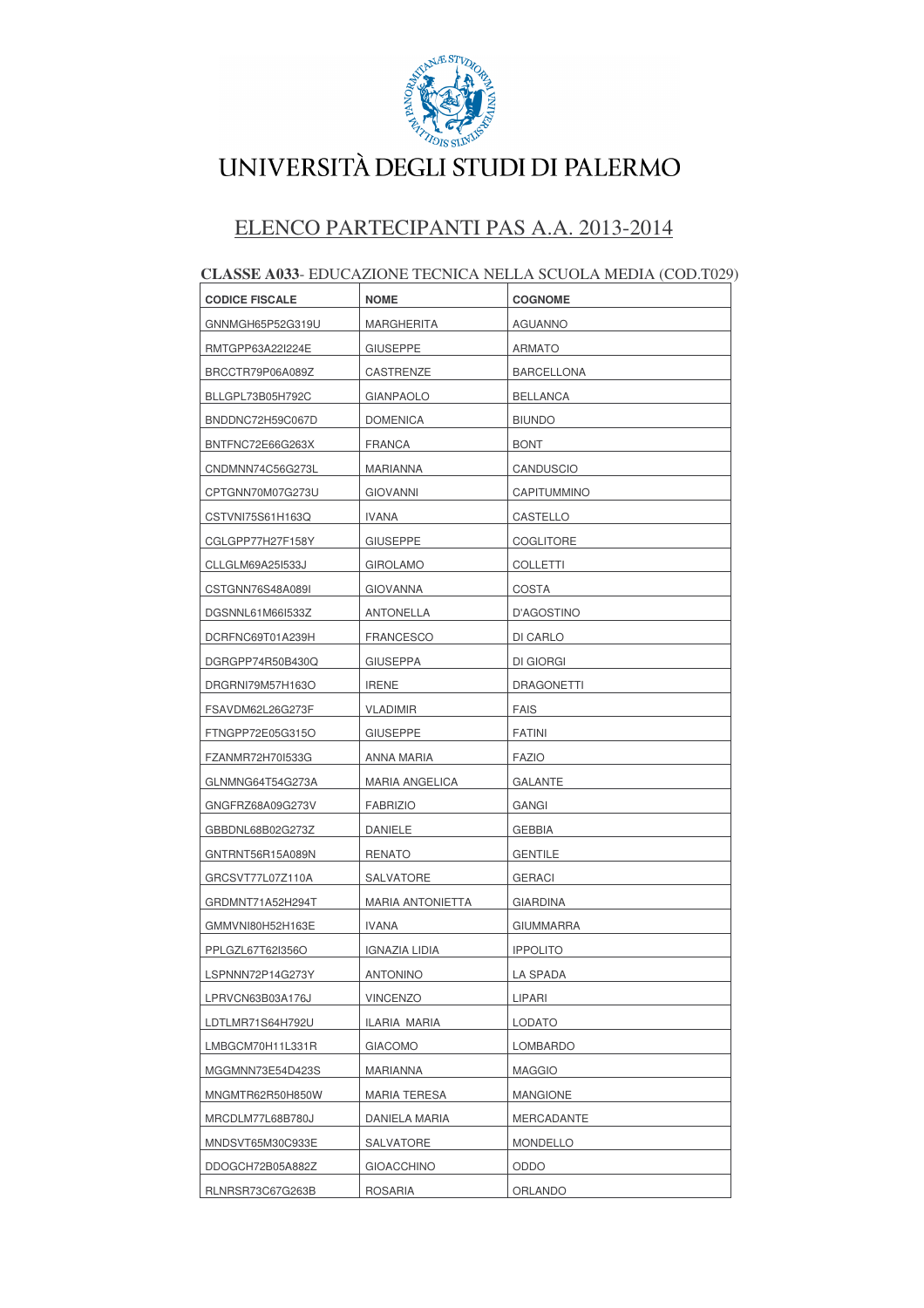

### ELENCO PARTECIPANTI PAS A.A. 2013-2014

| <b>CODICE FISCALE</b> | <b>NOME</b>             | <b>COGNOME</b>    |
|-----------------------|-------------------------|-------------------|
| GNNMGH65P52G319U      | MARGHERITA              | <b>AGUANNO</b>    |
| RMTGPP63A22I224E      | <b>GIUSEPPE</b>         | <b>ARMATO</b>     |
| BRCCTR79P06A089Z      | CASTRENZE               | <b>BARCELLONA</b> |
| BLLGPL73B05H792C      | GIANPAOLO               | <b>BELLANCA</b>   |
| BNDDNC72H59C067D      | <b>DOMENICA</b>         | <b>BIUNDO</b>     |
| BNTFNC72E66G263X      | FRANCA                  | <b>BONT</b>       |
| CNDMNN74C56G273L      | MARIANNA                | CANDUSCIO         |
| CPTGNN70M07G273U      | <b>GIOVANNI</b>         | CAPITUMMINO       |
| CSTVNI75S61H163Q      | <b>IVANA</b>            | CASTELLO          |
| CGLGPP77H27F158Y      | GIUSEPPE                | COGLITORE         |
| CLLGLM69A25I533J      | <b>GIROLAMO</b>         | <b>COLLETTI</b>   |
| CSTGNN76S48A089I      | <b>GIOVANNA</b>         | <b>COSTA</b>      |
| DGSNNL61M66I533Z      | ANTONELLA               | D'AGOSTINO        |
| DCRFNC69T01A239H      | <b>FRANCESCO</b>        | DI CARLO          |
| DGRGPP74R50B430Q      | <b>GIUSEPPA</b>         | DI GIORGI         |
| DRGRNI79M57H163O      | <b>IRENE</b>            | DRAGONETTI        |
| FSAVDM62L26G273F      | VLADIMIR                | <b>FAIS</b>       |
| FTNGPP72E05G315O      | GIUSEPPE                | <b>FATINI</b>     |
| FZANMR72H70I533G      | ANNA MARIA              | <b>FAZIO</b>      |
| GLNMNG64T54G273A      | <b>MARIA ANGELICA</b>   | <b>GALANTE</b>    |
| GNGFRZ68A09G273V      | <b>FABRIZIO</b>         | <b>GANGI</b>      |
| GBBDNL68B02G273Z      | DANIELE                 | <b>GEBBIA</b>     |
| GNTRNT56R15A089N      | RENATO                  | <b>GENTILE</b>    |
| GRCSVT77L07Z110A      | SALVATORE               | <b>GERACI</b>     |
| GRDMNT71A52H294T      | <b>MARIA ANTONIETTA</b> | <b>GIARDINA</b>   |
| GMMVNI80H52H163E      | <b>IVANA</b>            | <b>GIUMMARRA</b>  |
| PPLGZL67T62I356O      | IGNAZIA LIDIA           | <b>IPPOLITO</b>   |
| LSPNNN72P14G273Y      | <b>ANTONINO</b>         | <b>LA SPADA</b>   |
| LPRVCN63B03A176J      | <b>VINCENZO</b>         | LIPARI            |
| LDTLMR71S64H792U      | ILARIA MARIA            | <b>LODATO</b>     |
| LMBGCM70H11L331R      | <b>GIACOMO</b>          | LOMBARDO          |
| MGGMNN73E54D423S      | MARIANNA                | <b>MAGGIO</b>     |
| MNGMTR62R50H850W      | <b>MARIA TERESA</b>     | <b>MANGIONE</b>   |
| MRCDLM77L68B780J      | DANIELA MARIA           | MERCADANTE        |
| MNDSVT65M30C933E      | SALVATORE               | <b>MONDELLO</b>   |
| DDOGCH72B05A882Z      | <b>GIOACCHINO</b>       | ODDO              |
| RLNRSR73C67G263B      | ROSARIA                 | ORLANDO           |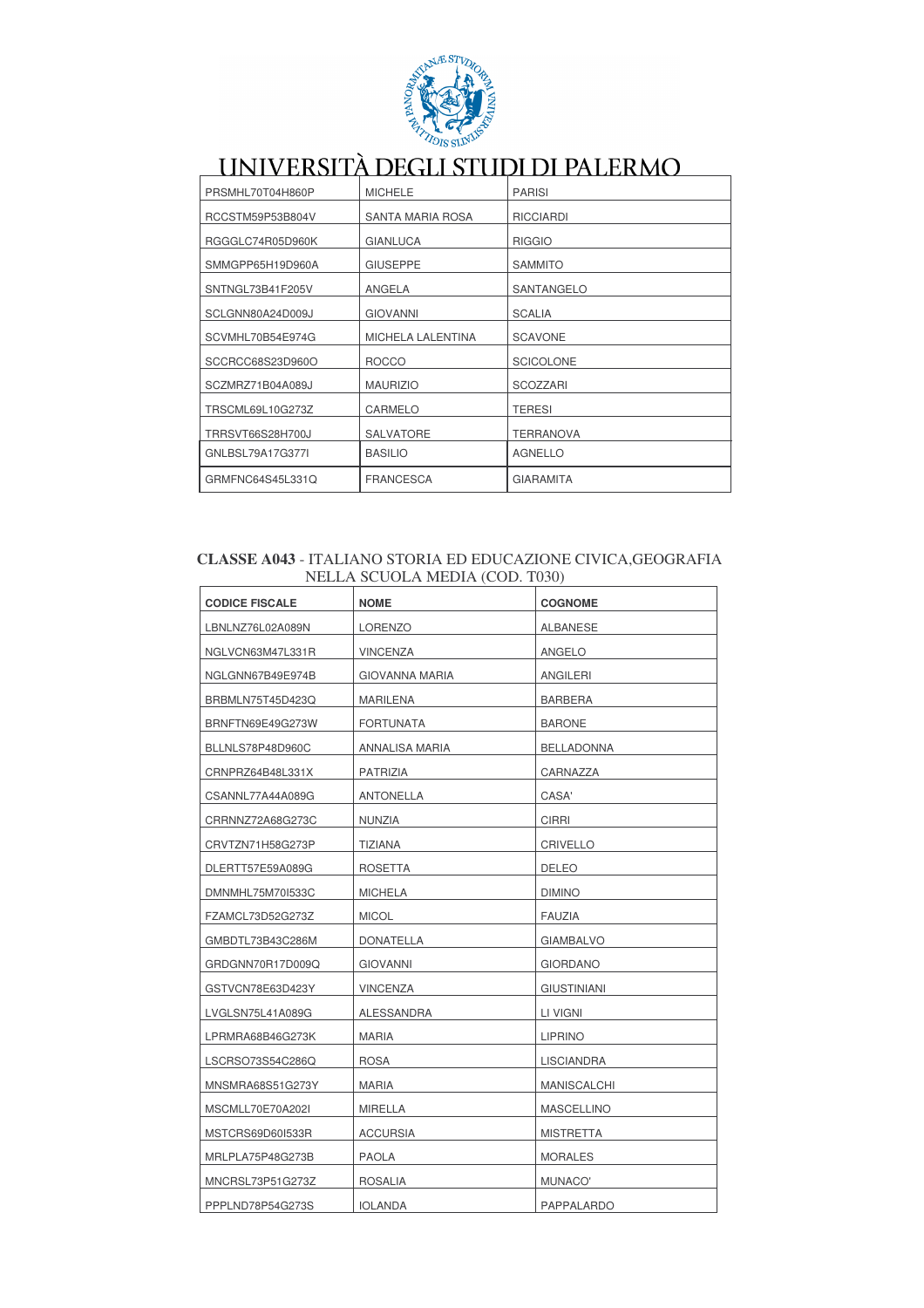

| PRSMHL70T04H860P | <b>MICHELE</b>           | <b>PARISI</b>    |
|------------------|--------------------------|------------------|
| RCCSTM59P53B804V | <b>SANTA MARIA ROSA</b>  | <b>RICCIARDI</b> |
| RGGGLC74R05D960K | <b>GIANLUCA</b>          | <b>RIGGIO</b>    |
| SMMGPP65H19D960A | <b>GIUSEPPE</b>          | <b>SAMMITO</b>   |
| SNTNGL73B41F205V | ANGELA                   | SANTANGELO       |
| SCLGNN80A24D009J | <b>GIOVANNI</b>          | <b>SCALIA</b>    |
| SCVMHL70B54E974G | <b>MICHELA LALENTINA</b> | <b>SCAVONE</b>   |
| SCCRCC68S23D960O | <b>ROCCO</b>             | <b>SCICOLONE</b> |
| SCZMRZ71B04A089J | <b>MAURIZIO</b>          | <b>SCOZZARI</b>  |
| TRSCML69L10G273Z | CARMELO                  | <b>TERESI</b>    |
| TRRSVT66S28H700J | <b>SALVATORE</b>         | <b>TERRANOVA</b> |
| GNLBSL79A17G377I | <b>BASILIO</b>           | <b>AGNELLO</b>   |
| GRMFNC64S45L331Q | <b>FRANCESCA</b>         | <b>GIARAMITA</b> |

#### CLASSE A043 - ITALIANO STORIA ED EDUCAZIONE CIVICA, GEOGRAFIA NELLA SCUOLA MEDIA (COD. T030)

| <b>CODICE FISCALE</b> | <b>NOME</b>           | <b>COGNOME</b>     |
|-----------------------|-----------------------|--------------------|
| LBNLNZ76L02A089N      | <b>LORENZO</b>        | <b>ALBANESE</b>    |
| NGLVCN63M47L331R      | <b>VINCENZA</b>       | ANGELO             |
| NGLGNN67B49E974B      | <b>GIOVANNA MARIA</b> | ANGILERI           |
| BRBMLN75T45D423Q      | <b>MARILENA</b>       | <b>BARBERA</b>     |
| BRNFTN69E49G273W      | <b>FORTUNATA</b>      | <b>BARONE</b>      |
| BLLNLS78P48D960C      | ANNALISA MARIA        | <b>BELLADONNA</b>  |
| CRNPRZ64B48L331X      | <b>PATRIZIA</b>       | CARNAZZA           |
| CSANNL77A44A089G      | <b>ANTONELLA</b>      | CASA'              |
| CRRNNZ72A68G273C      | <b>NUNZIA</b>         | <b>CIRRI</b>       |
| CRVTZN71H58G273P      | TIZIANA               | <b>CRIVELLO</b>    |
| DLERTT57E59A089G      | ROSETTA               | <b>DELEO</b>       |
| DMNMHL75M70I533C      | <b>MICHELA</b>        | <b>DIMINO</b>      |
| FZAMCL73D52G273Z      | <b>MICOL</b>          | <b>FAUZIA</b>      |
| GMBDTL73B43C286M      | DONATELLA             | <b>GIAMBALVO</b>   |
| GRDGNN70R17D009Q      | <b>GIOVANNI</b>       | <b>GIORDANO</b>    |
| GSTVCN78E63D423Y      | <b>VINCENZA</b>       | <b>GIUSTINIANI</b> |
| LVGLSN75L41A089G      | ALESSANDRA            | LI VIGNI           |
| LPRMRA68B46G273K      | <b>MARIA</b>          | <b>LIPRINO</b>     |
| LSCRSO73S54C286Q      | <b>ROSA</b>           | <b>LISCIANDRA</b>  |
| MNSMRA68S51G273Y      | <b>MARIA</b>          | MANISCALCHI        |
| MSCMLL70E70A202I      | MIRELLA               | <b>MASCELLINO</b>  |
| MSTCRS69D601533R      | ACCURSIA              | <b>MISTRETTA</b>   |
| MRLPLA75P48G273B      | <b>PAOLA</b>          | <b>MORALES</b>     |
| MNCRSL73P51G273Z      | <b>ROSALIA</b>        | MUNACO'            |
| PPPLND78P54G273S      | <b>IOLANDA</b>        | PAPPALARDO         |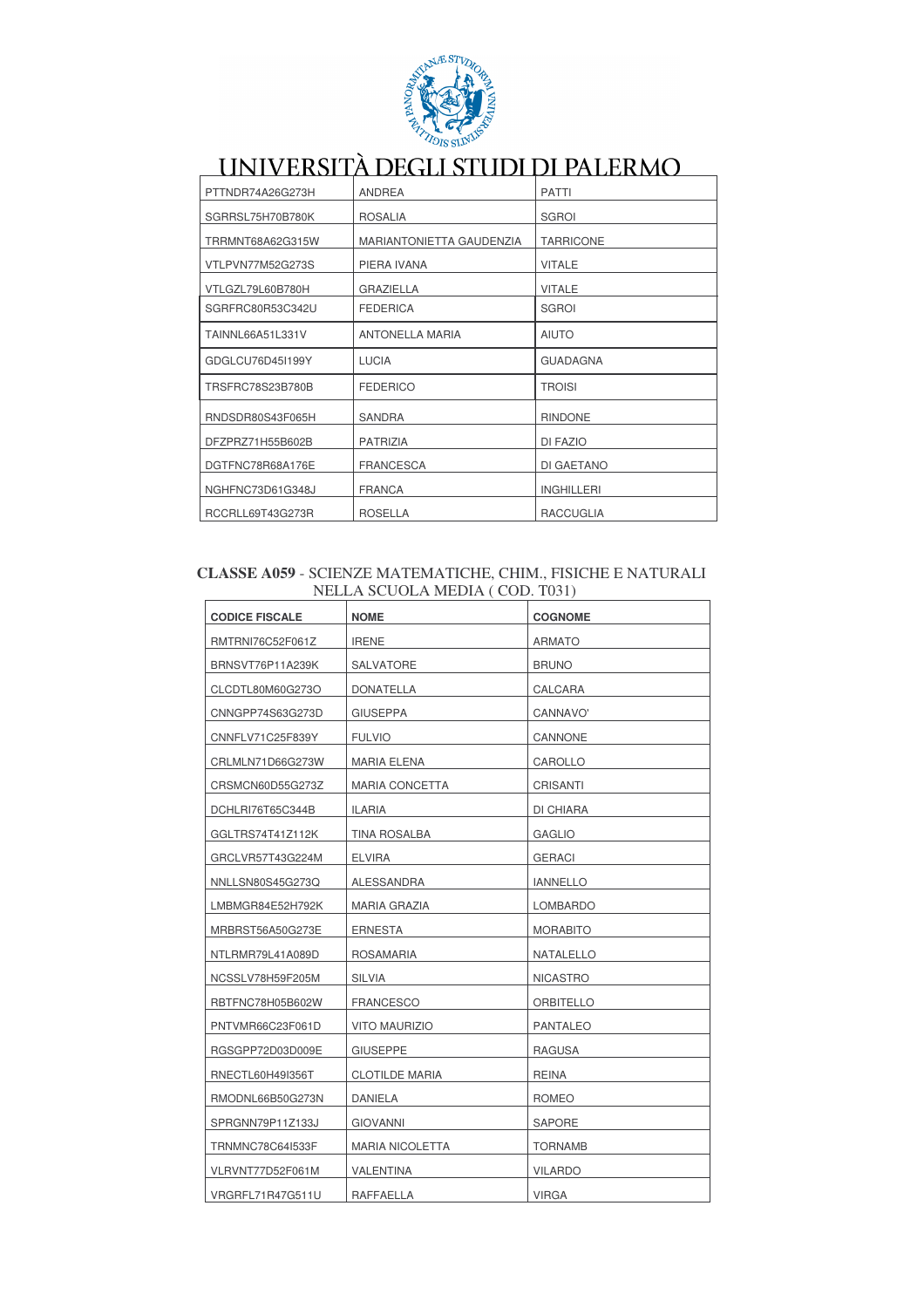

| PTTNDR74A26G273H | <b>ANDREA</b>            | <b>PATTI</b>      |
|------------------|--------------------------|-------------------|
| SGRRSL75H70B780K | <b>ROSALIA</b>           | <b>SGROI</b>      |
| TRRMNT68A62G315W | MARIANTONIETTA GAUDENZIA | <b>TARRICONE</b>  |
| VTLPVN77M52G273S | PIERA IVANA              | <b>VITALE</b>     |
| VTLGZL79L60B780H | <b>GRAZIELLA</b>         | <b>VITALE</b>     |
| SGRFRC80R53C342U | <b>FEDERICA</b>          | <b>SGROI</b>      |
| TAINNL66A51L331V | <b>ANTONELLA MARIA</b>   | <b>AIUTO</b>      |
| GDGLCU76D45I199Y | <b>LUCIA</b>             | <b>GUADAGNA</b>   |
| TRSFRC78S23B780B | <b>FEDERICO</b>          | <b>TROISI</b>     |
| RNDSDR80S43F065H | SANDRA                   | <b>RINDONE</b>    |
| DFZPRZ71H55B602B | <b>PATRIZIA</b>          | DI FAZIO          |
| DGTFNC78R68A176E | <b>FRANCESCA</b>         | DI GAETANO        |
| NGHFNC73D61G348J | <b>FRANCA</b>            | <b>INGHILLERI</b> |
| RCCRLL69T43G273R | <b>ROSELLA</b>           | <b>RACCUGLIA</b>  |

#### CLASSE A059 - SCIENZE MATEMATICHE, CHIM., FISICHE E NATURALI NELLA SCUOLA MEDIA (COD. T031)

| <b>CODICE FISCALE</b> | NOME                   | <b>COGNOME</b>   |
|-----------------------|------------------------|------------------|
| RMTRNI76C52F061Z      | <b>IRENE</b>           | ARMATO           |
| BRNSVT76P11A239K      | SALVATORE              | <b>BRUNO</b>     |
| CLCDTL80M60G273O      | DONATELLA              | CALCARA          |
| CNNGPP74S63G273D      | <b>GIUSEPPA</b>        | CANNAVO'         |
| CNNFLV71C25F839Y      | <b>FULVIO</b>          | CANNONE          |
| CRLMLN71D66G273W      | <b>MARIA ELENA</b>     | CAROLLO          |
| CRSMCN60D55G273Z      | <b>MARIA CONCETTA</b>  | <b>CRISANTI</b>  |
| DCHLRI76T65C344B      | ILARIA                 | DI CHIARA        |
| GGLTRS74T41Z112K      | <b>TINA ROSALBA</b>    | <b>GAGLIO</b>    |
| GRCLVR57T43G224M      | <b>ELVIRA</b>          | <b>GERACI</b>    |
| NNLLSN80S45G273Q      | ALESSANDRA             | <b>IANNELLO</b>  |
| LMBMGR84E52H792K      | MARIA GRAZIA           | LOMBARDO         |
| MRBRST56A50G273E      | <b>ERNESTA</b>         | <b>MORABITO</b>  |
| NTLRMR79L41A089D      | <b>ROSAMARIA</b>       | <b>NATALELLO</b> |
| NCSSLV78H59F205M      | <b>SILVIA</b>          | <b>NICASTRO</b>  |
| RBTFNC78H05B602W      | <b>FRANCESCO</b>       | <b>ORBITELLO</b> |
| PNTVMR66C23F061D      | <b>VITO MAURIZIO</b>   | <b>PANTALEO</b>  |
| RGSGPP72D03D009E      | <b>GIUSEPPE</b>        | <b>RAGUSA</b>    |
| RNECTL60H49I356T      | <b>CLOTILDE MARIA</b>  | <b>REINA</b>     |
| RMODNL66B50G273N      | <b>DANIELA</b>         | <b>ROMEO</b>     |
| SPRGNN79P11Z133J      | GIOVANNI               | SAPORE           |
| TRNMNC78C64I533F      | <b>MARIA NICOLETTA</b> | <b>TORNAMB</b>   |
| VLRVNT77D52F061M      | VALENTINA              | <b>VILARDO</b>   |
| VRGRFL71R47G511U      | RAFFAELLA              | <b>VIRGA</b>     |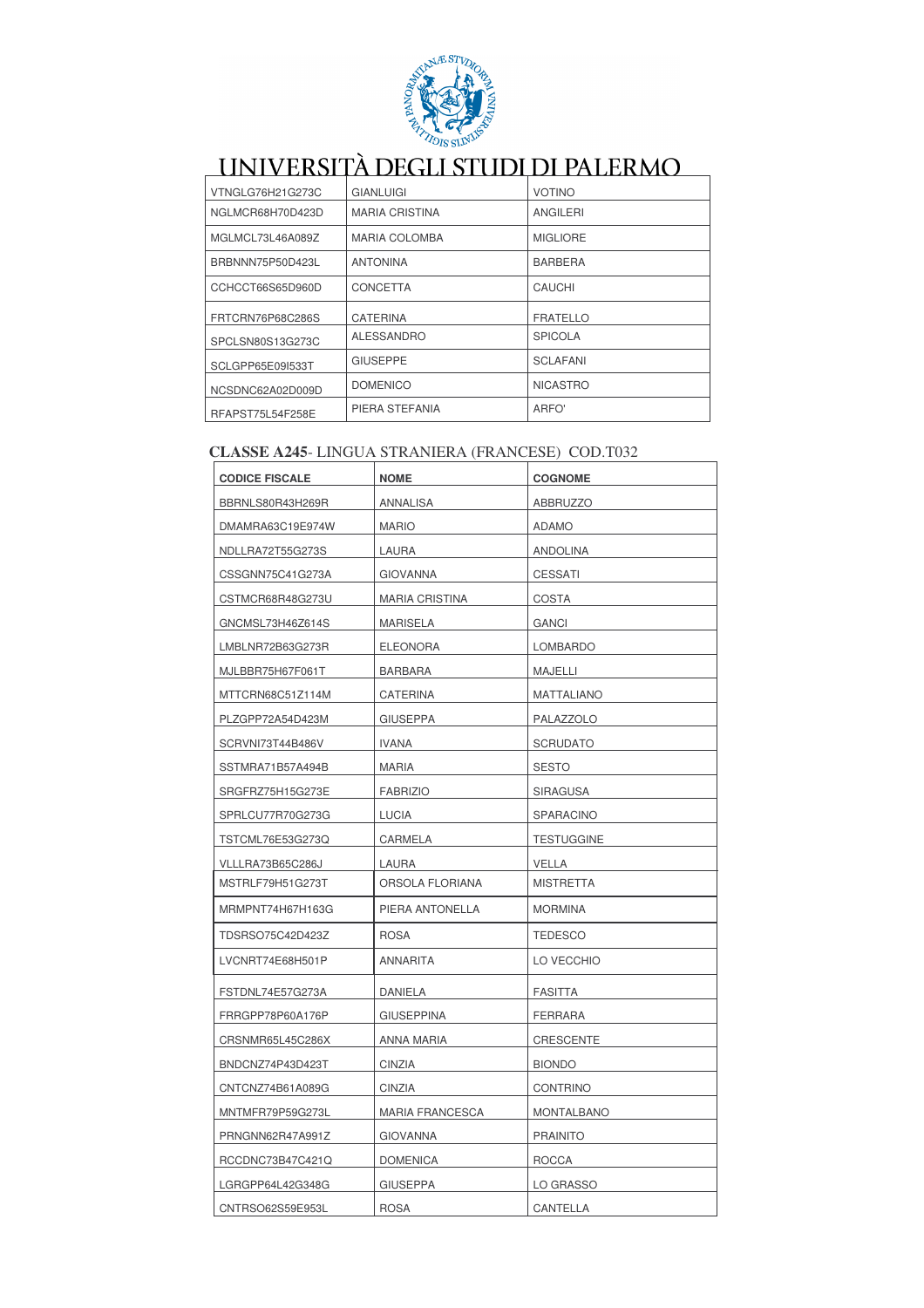

| VTNGLG76H21G273C | <b>GIANLUIGI</b>      | <b>VOTINO</b>   |
|------------------|-----------------------|-----------------|
| NGLMCR68H70D423D | <b>MARIA CRISTINA</b> | ANGILERI        |
| MGLMCL73L46A089Z | <b>MARIA COLOMBA</b>  | <b>MIGLIORE</b> |
| BRBNNN75P50D423L | <b>ANTONINA</b>       | <b>BARBERA</b>  |
| CCHCCT66S65D960D | CONCETTA              | CAUCHI          |
| FRTCRN76P68C286S | <b>CATERINA</b>       | <b>FRATELLO</b> |
| SPCLSN80S13G273C | <b>ALESSANDRO</b>     | <b>SPICOLA</b>  |
| SCLGPP65E09I533T | <b>GIUSEPPE</b>       | <b>SCLAFANI</b> |
| NCSDNC62A02D009D | <b>DOMENICO</b>       | <b>NICASTRO</b> |
| RFAPST75L54F258E | PIERA STEFANIA        | ARFO'           |

### CLASSE A245-LINGUA STRANIERA (FRANCESE) COD.T032

| <b>CODICE FISCALE</b> | <b>NOME</b>            | <b>COGNOME</b>    |
|-----------------------|------------------------|-------------------|
| BBRNLS80R43H269R      | ANNALISA               | <b>ABBRUZZO</b>   |
| DMAMRA63C19E974W      | <b>MARIO</b>           | <b>ADAMO</b>      |
| NDLLRA72T55G273S      | LAURA                  | ANDOLINA          |
| CSSGNN75C41G273A      | <b>GIOVANNA</b>        | <b>CESSATI</b>    |
| CSTMCR68R48G273U      | <b>MARIA CRISTINA</b>  | <b>COSTA</b>      |
| GNCMSL73H46Z614S      | <b>MARISELA</b>        | <b>GANCI</b>      |
| LMBLNR72B63G273R      | <b>ELEONORA</b>        | <b>LOMBARDO</b>   |
| MJLBBR75H67F061T      | <b>BARBARA</b>         | MAJELLI           |
| MTTCRN68C51Z114M      | CATERINA               | <b>MATTALIANO</b> |
| PLZGPP72A54D423M      | <b>GIUSEPPA</b>        | PALAZZOLO         |
| SCRVNI73T44B486V      | IVANA                  | <b>SCRUDATO</b>   |
| SSTMRA71B57A494B      | <b>MARIA</b>           | <b>SESTO</b>      |
| SRGFRZ75H15G273E      | <b>FABRIZIO</b>        | <b>SIRAGUSA</b>   |
| SPRLCU77R70G273G      | <b>LUCIA</b>           | SPARACINO         |
| TSTCML76E53G273Q      | CARMELA                | <b>TESTUGGINE</b> |
| VLLLRA73B65C286J      | LAURA                  | VELLA             |
| MSTRLF79H51G273T      | ORSOLA FLORIANA        | <b>MISTRETTA</b>  |
| MRMPNT74H67H163G      | PIERA ANTONELLA        | <b>MORMINA</b>    |
| TDSRSO75C42D423Z      | <b>ROSA</b>            | <b>TEDESCO</b>    |
| LVCNRT74E68H501P      | <b>ANNARITA</b>        | LO VECCHIO        |
| FSTDNL74E57G273A      | DANIELA                | <b>FASITTA</b>    |
| FRRGPP78P60A176P      | <b>GIUSEPPINA</b>      | FERRARA           |
| CRSNMR65L45C286X      | ANNA MARIA             | <b>CRESCENTE</b>  |
| BNDCNZ74P43D423T      | CINZIA                 | <b>BIONDO</b>     |
| CNTCNZ74B61A089G      | <b>CINZIA</b>          | <b>CONTRINO</b>   |
| MNTMFR79P59G273L      | <b>MARIA FRANCESCA</b> | <b>MONTALBANO</b> |
| PRNGNN62R47A991Z      | <b>GIOVANNA</b>        | <b>PRAINITO</b>   |
| RCCDNC73B47C421Q      | <b>DOMENICA</b>        | <b>ROCCA</b>      |
| LGRGPP64L42G348G      | <b>GIUSEPPA</b>        | LO GRASSO         |
| CNTRSO62S59E953L      | <b>ROSA</b>            | CANTELLA          |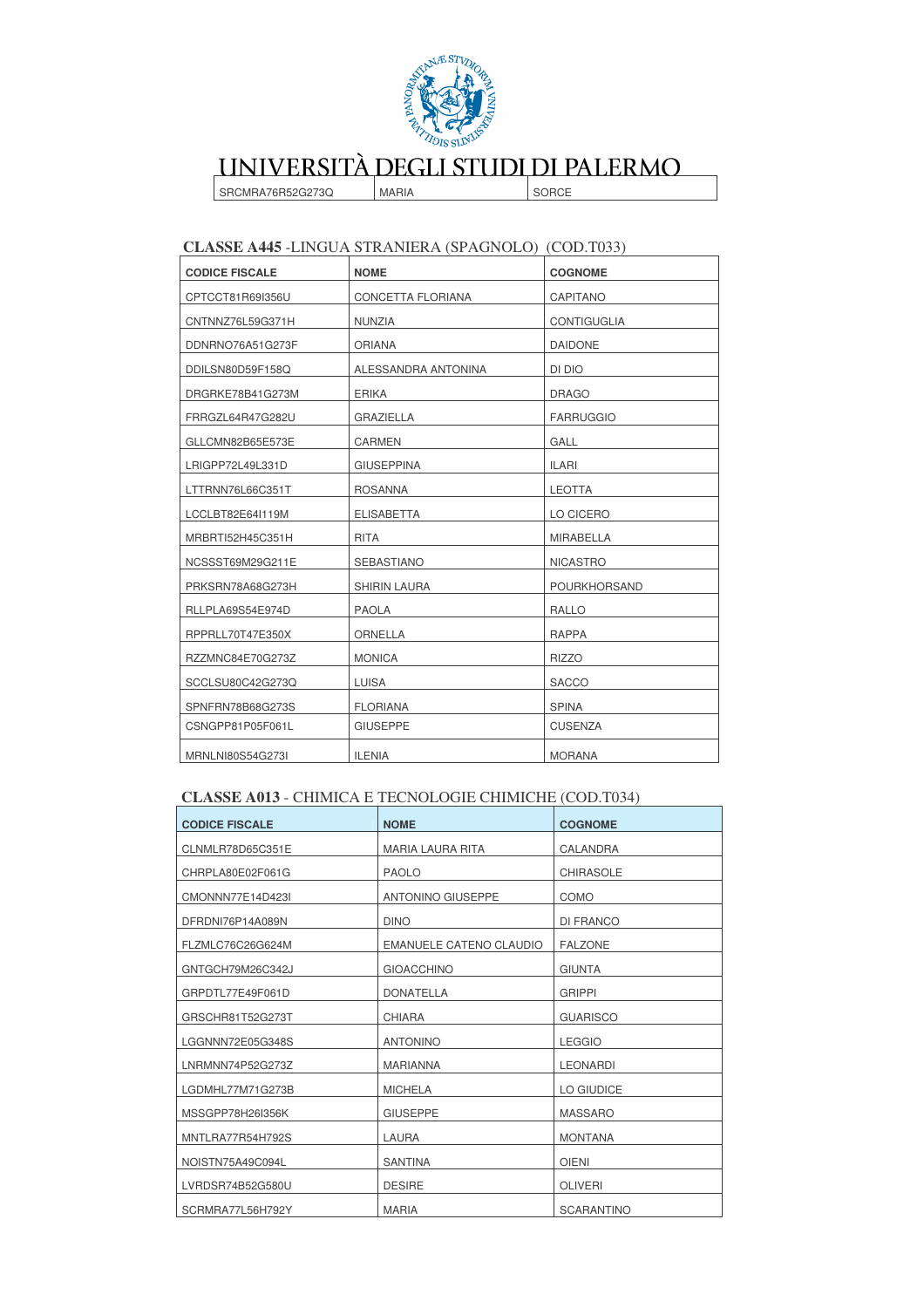

SRCMRA76R52G273Q **MARIA**  SORCE

### CLASSE A445 -LINGUA STRANIERA (SPAGNOLO) (COD.T033)

| <b>CODICE FISCALE</b> | <b>NOME</b>         | <b>COGNOME</b>      |
|-----------------------|---------------------|---------------------|
| CPTCCT81R69I356U      | CONCETTA FLORIANA   | <b>CAPITANO</b>     |
| CNTNNZ76L59G371H      | <b>NUNZIA</b>       | <b>CONTIGUGLIA</b>  |
| DDNRNO76A51G273F      | <b>ORIANA</b>       | <b>DAIDONE</b>      |
| DDILSN80D59F158Q      | ALESSANDRA ANTONINA | DI DIO              |
| DRGRKE78B41G273M      | <b>ERIKA</b>        | <b>DRAGO</b>        |
| FRRGZL64R47G282U      | <b>GRAZIELLA</b>    | <b>FARRUGGIO</b>    |
| GLLCMN82B65E573E      | <b>CARMEN</b>       | GALL                |
| LRIGPP72L49L331D      | <b>GIUSEPPINA</b>   | <b>ILARI</b>        |
| LTTRNN76L66C351T      | <b>ROSANNA</b>      | <b>LEOTTA</b>       |
| LCCLBT82E64I119M      | <b>ELISABETTA</b>   | LO CICERO           |
| MRBRTI52H45C351H      | <b>RITA</b>         | <b>MIRABELLA</b>    |
| NCSSST69M29G211E      | <b>SEBASTIANO</b>   | <b>NICASTRO</b>     |
| PRKSRN78A68G273H      | <b>SHIRIN LAURA</b> | <b>POURKHORSAND</b> |
| RLLPLA69S54E974D      | <b>PAOLA</b>        | <b>RALLO</b>        |
| RPPRLL70T47E350X      | <b>ORNELLA</b>      | <b>RAPPA</b>        |
| RZZMNC84E70G273Z      | <b>MONICA</b>       | <b>RIZZO</b>        |
| SCCLSU80C42G273Q      | <b>LUISA</b>        | <b>SACCO</b>        |
| SPNFRN78B68G273S      | <b>FLORIANA</b>     | <b>SPINA</b>        |
| CSNGPP81P05F061L      | <b>GIUSEPPE</b>     | <b>CUSENZA</b>      |
| MRNLNI80S54G273I      | <b>ILENIA</b>       | <b>MORANA</b>       |

### CLASSE A013 - CHIMICA E TECNOLOGIE CHIMICHE (COD.T034)

| <b>CODICE FISCALE</b> | <b>NOME</b>             | <b>COGNOME</b>    |
|-----------------------|-------------------------|-------------------|
| CLNMLR78D65C351E      | <b>MARIA LAURA RITA</b> | CALANDRA          |
| CHRPLA80E02F061G      | <b>PAOLO</b>            | <b>CHIRASOLE</b>  |
| CMONNN77E14D423I      | ANTONINO GIUSEPPE       | COMO              |
| DFRDNI76P14A089N      | <b>DINO</b>             | DI FRANCO         |
| FLZMLC76C26G624M      | EMANUELE CATENO CLAUDIO | <b>FALZONE</b>    |
| GNTGCH79M26C342J      | <b>GIOACCHINO</b>       | <b>GIUNTA</b>     |
| GRPDTL77E49F061D      | <b>DONATELLA</b>        | <b>GRIPPI</b>     |
| GRSCHR81T52G273T      | CHIARA                  | <b>GUARISCO</b>   |
| LGGNNN72E05G348S      | <b>ANTONINO</b>         | <b>LEGGIO</b>     |
| LNRMNN74P52G273Z      | <b>MARIANNA</b>         | <b>LEONARDI</b>   |
| LGDMHL77M71G273B      | <b>MICHELA</b>          | LO GIUDICE        |
| MSSGPP78H26I356K      | <b>GIUSEPPE</b>         | <b>MASSARO</b>    |
| MNTLRA77R54H792S      | LAURA                   | <b>MONTANA</b>    |
| NOISTN75A49C094L      | <b>SANTINA</b>          | <b>OIENI</b>      |
| LVRDSR74B52G580U      | <b>DESIRE</b>           | <b>OLIVERI</b>    |
| SCRMRA77L56H792Y      | <b>MARIA</b>            | <b>SCARANTINO</b> |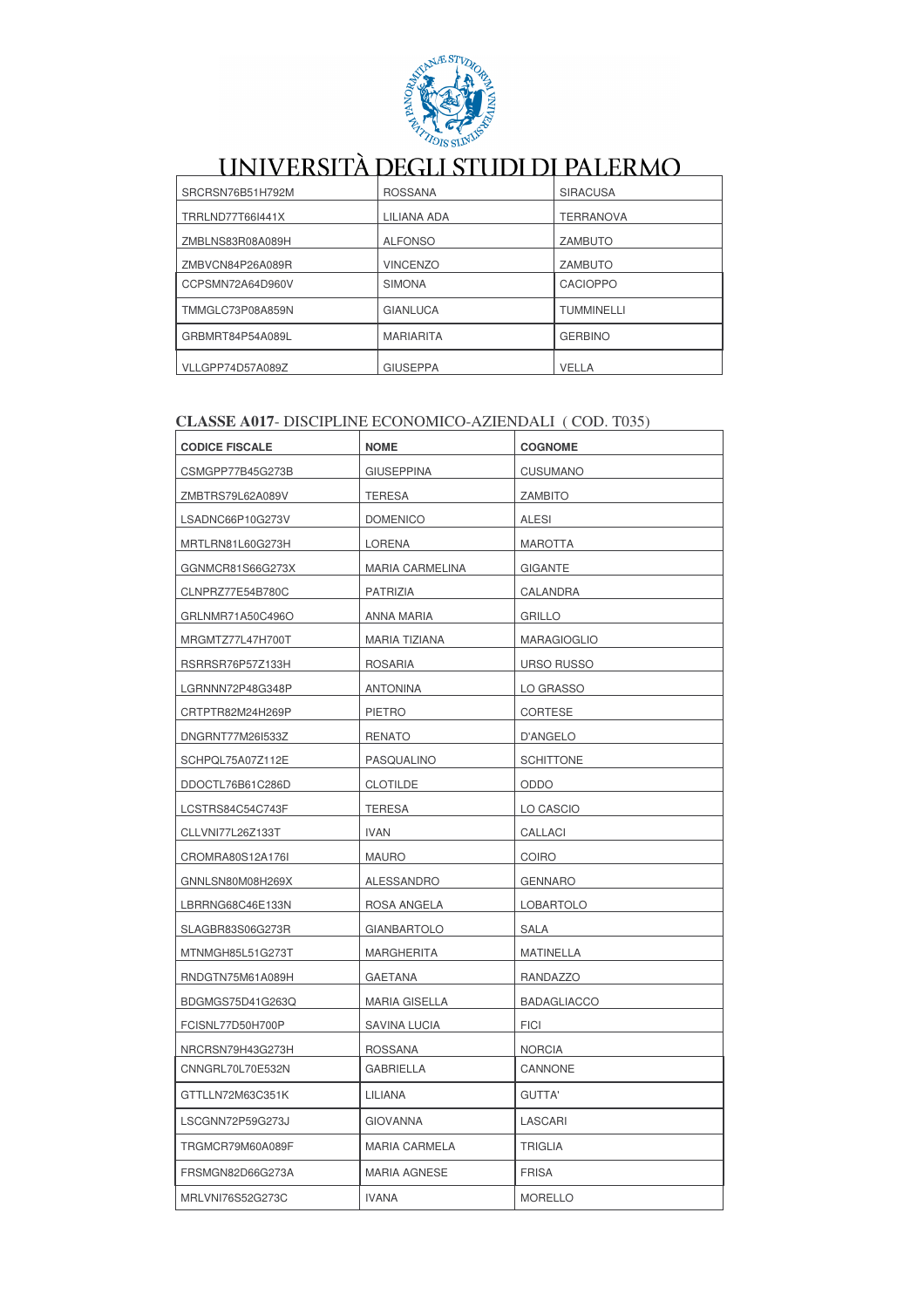

| SRCRSN76B51H792M | <b>ROSSANA</b>   | <b>SIRACUSA</b>   |
|------------------|------------------|-------------------|
| TRRLND77T66I441X | LILIANA ADA      | <b>TERRANOVA</b>  |
| ZMBLNS83R08A089H | <b>ALFONSO</b>   | <b>ZAMBUTO</b>    |
| ZMBVCN84P26A089R | <b>VINCENZO</b>  | ZAMBUTO           |
| CCPSMN72A64D960V | <b>SIMONA</b>    | <b>CACIOPPO</b>   |
| TMMGLC73P08A859N | <b>GIANLUCA</b>  | <b>TUMMINELLI</b> |
| GRBMRT84P54A089L | <b>MARIARITA</b> | <b>GERBINO</b>    |
| VLLGPP74D57A089Z | <b>GIUSEPPA</b>  | <b>VELLA</b>      |

### CLASSE A017- DISCIPLINE ECONOMICO-AZIENDALI (COD. T035)

| <b>CODICE FISCALE</b> | <b>NOME</b>            | <b>COGNOME</b>     |
|-----------------------|------------------------|--------------------|
| CSMGPP77B45G273B      | <b>GIUSEPPINA</b>      | <b>CUSUMANO</b>    |
| ZMBTRS79L62A089V      | <b>TERESA</b>          | <b>ZAMBITO</b>     |
| LSADNC66P10G273V      | <b>DOMENICO</b>        | <b>ALESI</b>       |
| MRTLRN81L60G273H      | <b>LORENA</b>          | <b>MAROTTA</b>     |
| GGNMCR81S66G273X      | <b>MARIA CARMELINA</b> | <b>GIGANTE</b>     |
| CLNPRZ77E54B780C      | PATRIZIA               | CALANDRA           |
| GRLNMR71A50C496O      | <b>ANNA MARIA</b>      | <b>GRILLO</b>      |
| MRGMTZ77L47H700T      | MARIA TIZIANA          | <b>MARAGIOGLIO</b> |
| RSRRSR76P57Z133H      | <b>ROSARIA</b>         | <b>URSO RUSSO</b>  |
| LGRNNN72P48G348P      | <b>ANTONINA</b>        | LO GRASSO          |
| CRTPTR82M24H269P      | <b>PIETRO</b>          | CORTESE            |
| DNGRNT77M261533Z      | <b>RENATO</b>          | D'ANGELO           |
| SCHPQL75A07Z112E      | PASQUALINO             | <b>SCHITTONE</b>   |
| DDOCTL76B61C286D      | <b>CLOTILDE</b>        | ODDO               |
| LCSTRS84C54C743F      | <b>TERESA</b>          | LO CASCIO          |
| CLLVNI77L26Z133T      | <b>IVAN</b>            | CALLACI            |
| CROMRA80S12A176I      | <b>MAURO</b>           | <b>COIRO</b>       |
| GNNLSN80M08H269X      | ALESSANDRO             | <b>GENNARO</b>     |
| LBRRNG68C46E133N      | ROSA ANGELA            | <b>LOBARTOLO</b>   |
| SLAGBR83S06G273R      | <b>GIANBARTOLO</b>     | SALA               |
| MTNMGH85L51G273T      | <b>MARGHERITA</b>      | <b>MATINELLA</b>   |
| RNDGTN75M61A089H      | <b>GAETANA</b>         | RANDAZZO           |
| BDGMGS75D41G263Q      | <b>MARIA GISELLA</b>   | <b>BADAGLIACCO</b> |
| FCISNL77D50H700P      | SAVINA LUCIA           | <b>FICI</b>        |
| NRCRSN79H43G273H      | <b>ROSSANA</b>         | <b>NORCIA</b>      |
| CNNGRL70L70E532N      | <b>GABRIELLA</b>       | CANNONE            |
| GTTLLN72M63C351K      | LILIANA                | GUTTA'             |
| LSCGNN72P59G273J      | <b>GIOVANNA</b>        | LASCARI            |
| TRGMCR79M60A089F      | <b>MARIA CARMELA</b>   | <b>TRIGLIA</b>     |
| FRSMGN82D66G273A      | <b>MARIA AGNESE</b>    | <b>FRISA</b>       |
|                       |                        |                    |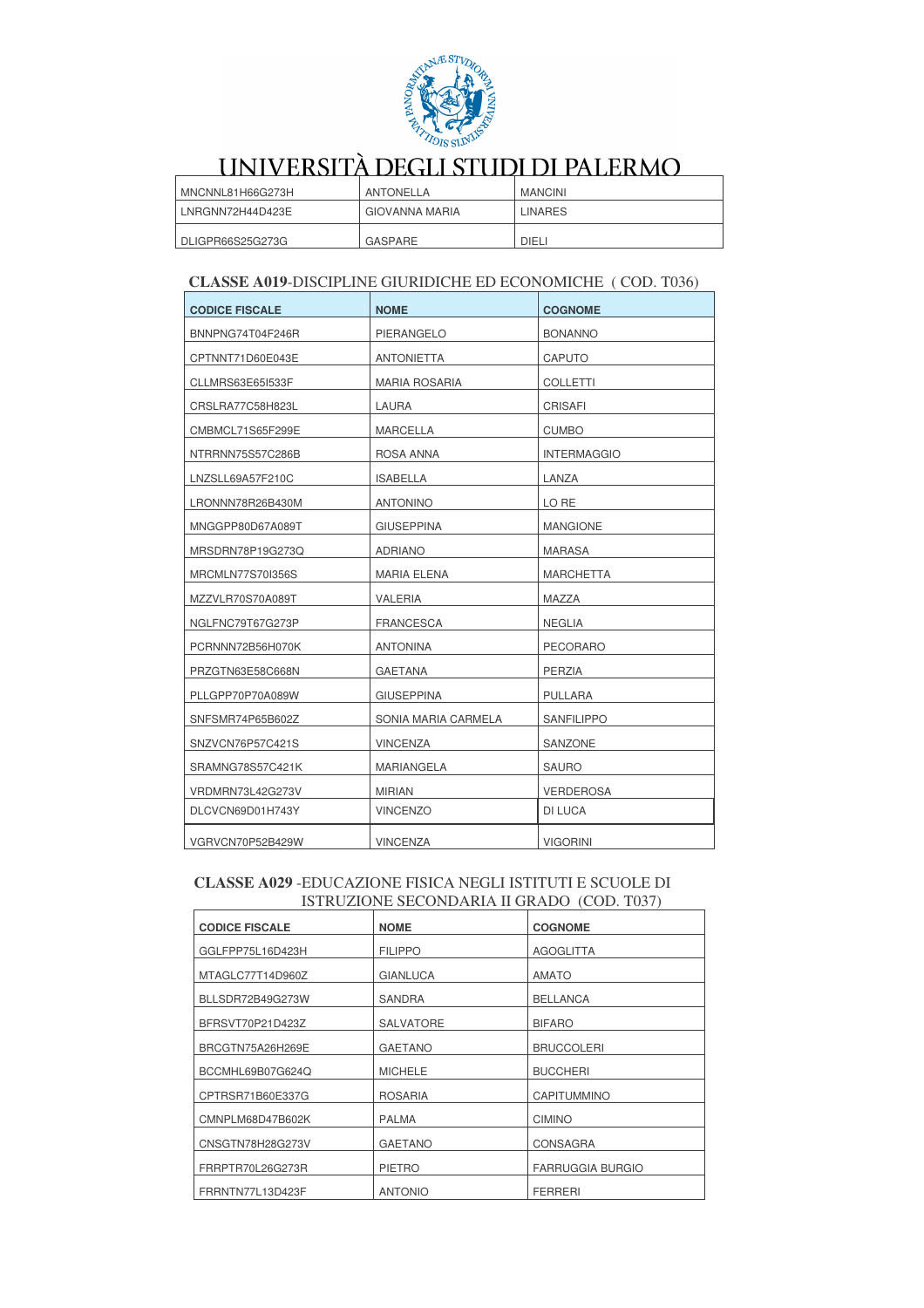

| MNCNNL81H66G273H | ANTONELLA      | <b>MANCINI</b> |
|------------------|----------------|----------------|
| LNRGNN72H44D423E | GIOVANNA MARIA | <b>LINARES</b> |
| DLIGPR66S25G273G | GASPARE        | <b>DIELI</b>   |

### **CLASSE A019-DISCIPLINE GIURIDICHE ED ECONOMICHE (COD. T036)**

| <b>CODICE FISCALE</b> | <b>NOME</b>          | <b>COGNOME</b>     |
|-----------------------|----------------------|--------------------|
| BNNPNG74T04F246R      | PIERANGELO           | <b>BONANNO</b>     |
| CPTNNT71D60E043E      | <b>ANTONIETTA</b>    | CAPUTO             |
| CLLMRS63E65I533F      | <b>MARIA ROSARIA</b> | <b>COLLETTI</b>    |
| CRSLRA77C58H823L      | LAURA                | CRISAFI            |
| CMBMCL71S65F299E      | MARCELLA             | <b>CUMBO</b>       |
| NTRRNN75S57C286B      | ROSA ANNA            | <b>INTERMAGGIO</b> |
| LNZSLL69A57F210C      | <b>ISABELLA</b>      | LANZA              |
| LRONNN78R26B430M      | <b>ANTONINO</b>      | LO RE              |
| MNGGPP80D67A089T      | <b>GIUSEPPINA</b>    | <b>MANGIONE</b>    |
| MRSDRN78P19G273Q      | <b>ADRIANO</b>       | <b>MARASA</b>      |
| MRCMLN77S70I356S      | <b>MARIA ELENA</b>   | <b>MARCHETTA</b>   |
| MZZVLR70S70A089T      | VALERIA              | MAZZA              |
| NGLFNC79T67G273P      | <b>FRANCESCA</b>     | <b>NEGLIA</b>      |
| PCRNNN72B56H070K      | <b>ANTONINA</b>      | <b>PECORARO</b>    |
| PRZGTN63E58C668N      | <b>GAETANA</b>       | PERZIA             |
| PLLGPP70P70A089W      | <b>GIUSEPPINA</b>    | <b>PULLARA</b>     |
| SNFSMR74P65B602Z      | SONIA MARIA CARMELA  | <b>SANFILIPPO</b>  |
| SNZVCN76P57C421S      | <b>VINCENZA</b>      | SANZONE            |
| SRAMNG78S57C421K      | MARIANGELA           | <b>SAURO</b>       |
| VRDMRN73L42G273V      | <b>MIRIAN</b>        | <b>VERDEROSA</b>   |
| DLCVCN69D01H743Y      | <b>VINCENZO</b>      | DI LUCA            |
| VGRVCN70P52B429W      | <b>VINCENZA</b>      | <b>VIGORINI</b>    |

#### CLASSE A029 -EDUCAZIONE FISICA NEGLI ISTITUTI E SCUOLE DI ISTRUZIONE SECONDARIA II GRADO (COD. T037)

| <b>CODICE FISCALE</b> | <b>NOME</b>      | <b>COGNOME</b>          |
|-----------------------|------------------|-------------------------|
| GGLFPP75L16D423H      | <b>FILIPPO</b>   | <b>AGOGLITTA</b>        |
| MTAGLC77T14D960Z      | <b>GIANLUCA</b>  | <b>AMATO</b>            |
| BLLSDR72B49G273W      | <b>SANDRA</b>    | <b>BELLANCA</b>         |
| BFRSVT70P21D423Z      | <b>SALVATORE</b> | <b>BIFARO</b>           |
| BRCGTN75A26H269E      | <b>GAETANO</b>   | <b>BRUCCOLERI</b>       |
| BCCMHL69B07G624Q      | <b>MICHELE</b>   | <b>BUCCHERI</b>         |
| CPTRSR71B60E337G      | <b>ROSARIA</b>   | CAPITUMMINO             |
| CMNPLM68D47B602K      | <b>PALMA</b>     | <b>CIMINO</b>           |
| CNSGTN78H28G273V      | <b>GAETANO</b>   | <b>CONSAGRA</b>         |
| FRRPTR70L26G273R      | <b>PIETRO</b>    | <b>FARRUGGIA BURGIO</b> |
| FRRNTN77L13D423F      | <b>ANTONIO</b>   | <b>FERRERI</b>          |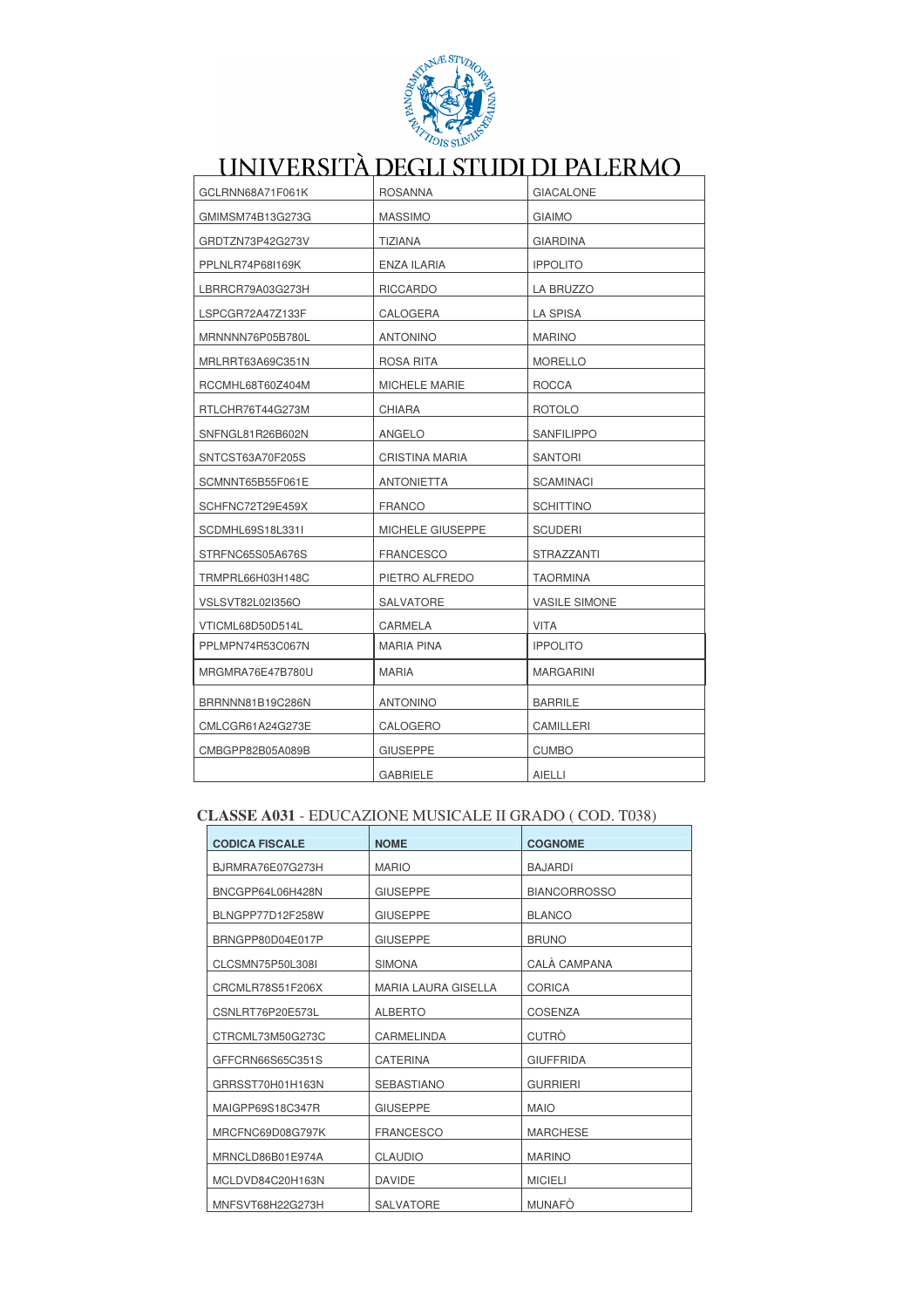

| GCLRNN68A71F061K | <b>ROSANNA</b>    | <b>GIACALONE</b>     |
|------------------|-------------------|----------------------|
| GMIMSM74B13G273G | <b>MASSIMO</b>    | <b>GIAIMO</b>        |
| GRDTZN73P42G273V | TIZIANA           | GIARDINA             |
| PPLNLR74P68I169K | ENZA ILARIA       | <b>IPPOLITO</b>      |
| LBRRCR79A03G273H | <b>RICCARDO</b>   | LA BRUZZO            |
| LSPCGR72A47Z133F | CALOGERA          | <b>LA SPISA</b>      |
| MRNNNN76P05B780L | <b>ANTONINO</b>   | <b>MARINO</b>        |
| MRLRRT63A69C351N | ROSA RITA         | <b>MORELLO</b>       |
| RCCMHL68T60Z404M | MICHELE MARIE     | ROCCA                |
| RTLCHR76T44G273M | <b>CHIARA</b>     | <b>ROTOLO</b>        |
| SNFNGL81R26B602N | ANGELO            | <b>SANFILIPPO</b>    |
| SNTCST63A70F205S | CRISTINA MARIA    | <b>SANTORI</b>       |
| SCMNNT65B55F061E | <b>ANTONIETTA</b> | <b>SCAMINACI</b>     |
| SCHFNC72T29E459X | <b>FRANCO</b>     | <b>SCHITTINO</b>     |
| SCDMHL69S18L331I | MICHELE GIUSEPPE  | <b>SCUDERI</b>       |
| STRFNC65S05A676S | <b>FRANCESCO</b>  | <b>STRAZZANTI</b>    |
| TRMPRL66H03H148C | PIETRO ALFREDO    | <b>TAORMINA</b>      |
| VSLSVT82L02I356O | SALVATORE         | <b>VASILE SIMONE</b> |
| VTICML68D50D514L | CARMELA           | <b>VITA</b>          |
| PPLMPN74R53C067N | <b>MARIA PINA</b> | <b>IPPOLITO</b>      |
| MRGMRA76E47B780U | <b>MARIA</b>      | <b>MARGARINI</b>     |
| BRRNNN81B19C286N | <b>ANTONINO</b>   | <b>BARRILE</b>       |
| CMLCGR61A24G273E | CALOGERO          | CAMILLERI            |
| CMBGPP82B05A089B | <b>GIUSEPPE</b>   | <b>CUMBO</b>         |
|                  | <b>GABRIELE</b>   | AIELLI               |

### CLASSE A031 - EDUCAZIONE MUSICALE II GRADO (COD. T038)

| <b>CODICA FISCALE</b> | <b>NOME</b>                | <b>COGNOME</b>      |
|-----------------------|----------------------------|---------------------|
| BJRMRA76E07G273H      | <b>MARIO</b>               | <b>BAJARDI</b>      |
| BNCGPP64L06H428N      | <b>GIUSEPPE</b>            | <b>BIANCORROSSO</b> |
| BLNGPP77D12F258W      | <b>GIUSEPPE</b>            | <b>BLANCO</b>       |
| BRNGPP80D04E017P      | <b>GIUSEPPE</b>            | <b>BRUNO</b>        |
| CLCSMN75P50L308I      | <b>SIMONA</b>              | CALÀ CAMPANA        |
| CRCMLR78S51F206X      | <b>MARIA LAURA GISELLA</b> | <b>CORICA</b>       |
| CSNLRT76P20E573L      | <b>ALBERTO</b>             | <b>COSENZA</b>      |
| CTRCML73M50G273C      | CARMELINDA                 | <b>CUTRO</b>        |
| GFFCRN66S65C351S      | <b>CATERINA</b>            | <b>GIUFFRIDA</b>    |
| GRRSST70H01H163N      | <b>SEBASTIANO</b>          | <b>GURRIERI</b>     |
| MAIGPP69S18C347R      | <b>GIUSEPPE</b>            | <b>MAIO</b>         |
| MRCFNC69D08G797K      | <b>FRANCESCO</b>           | <b>MARCHESE</b>     |
| MRNCLD86B01E974A      | <b>CLAUDIO</b>             | <b>MARINO</b>       |
| MCLDVD84C20H163N      | <b>DAVIDE</b>              | <b>MICIELI</b>      |
| MNFSVT68H22G273H      | <b>SALVATORE</b>           | <b>MUNAFO</b>       |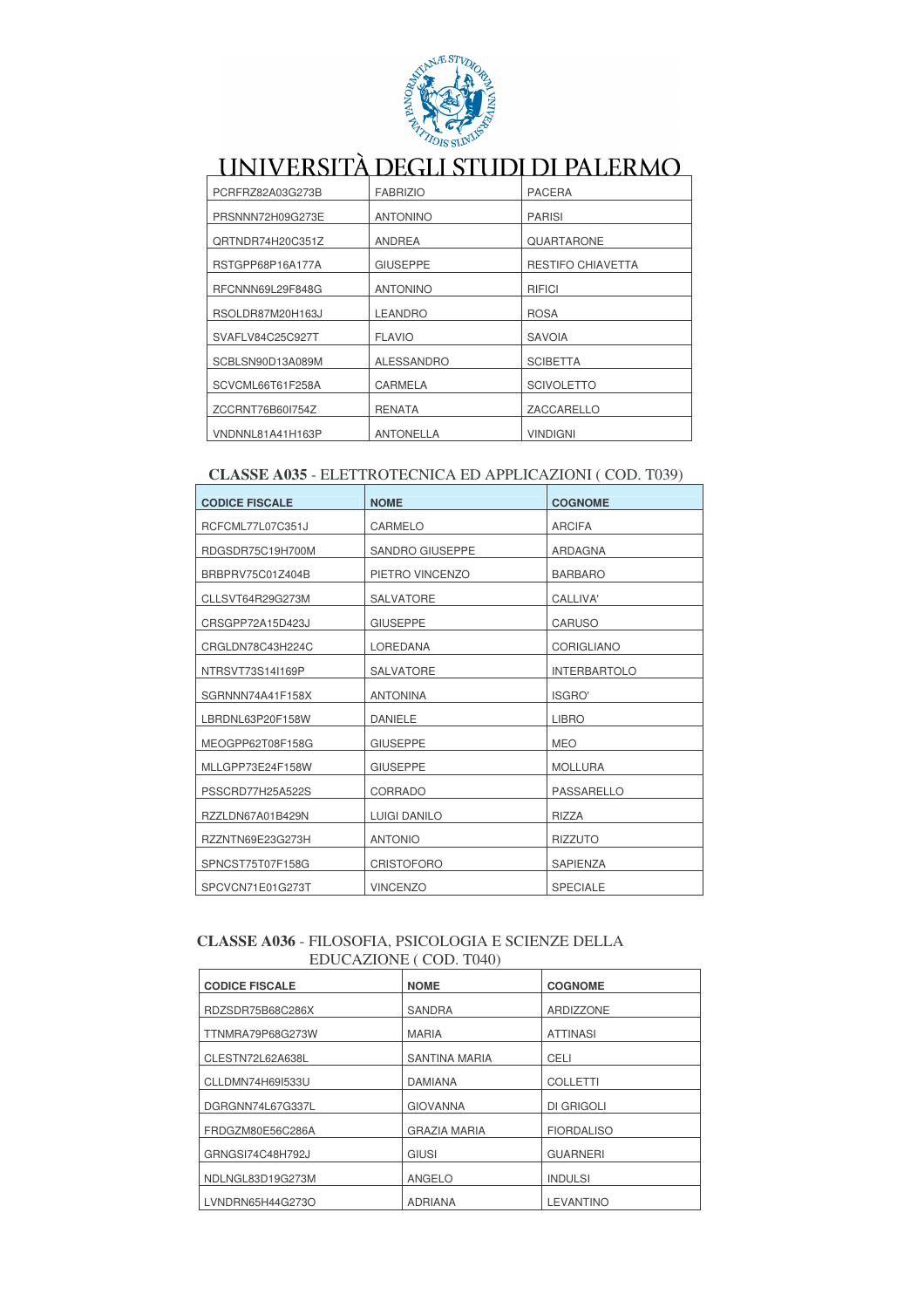

| PCRFRZ82A03G273B | <b>FABRIZIO</b>   | <b>PACERA</b>            |
|------------------|-------------------|--------------------------|
| PRSNNN72H09G273E | <b>ANTONINO</b>   | <b>PARISI</b>            |
| QRTNDR74H20C351Z | ANDREA            | QUARTARONE               |
| RSTGPP68P16A177A | <b>GIUSEPPE</b>   | <b>RESTIFO CHIAVETTA</b> |
| RFCNNN69L29F848G | <b>ANTONINO</b>   | RIFICI                   |
| RSOLDR87M20H163J | <b>LEANDRO</b>    | <b>ROSA</b>              |
| SVAFLV84C25C927T | <b>FLAVIO</b>     | <b>SAVOIA</b>            |
| SCBLSN90D13A089M | <b>ALESSANDRO</b> | <b>SCIBETTA</b>          |
| SCVCML66T61F258A | CARMELA           | <b>SCIVOLETTO</b>        |
| ZCCRNT76B60I754Z | <b>RENATA</b>     | ZACCARELLO               |
| VNDNNL81A41H163P | <b>ANTONELLA</b>  | <b>VINDIGNI</b>          |

### CLASSE A035 - ELETTROTECNICA ED APPLICAZIONI (COD. T039)

| <b>CODICE FISCALE</b> | <b>NOME</b>            | <b>COGNOME</b>      |
|-----------------------|------------------------|---------------------|
| RCFCML77L07C351J      | CARMELO                | <b>ARCIFA</b>       |
| RDGSDR75C19H700M      | <b>SANDRO GIUSEPPE</b> | ARDAGNA             |
| BRBPRV75C01Z404B      | PIETRO VINCENZO        | <b>BARBARO</b>      |
| CLLSVT64R29G273M      | <b>SALVATORE</b>       | CALLIVA'            |
| CRSGPP72A15D423J      | <b>GIUSEPPE</b>        | <b>CARUSO</b>       |
| CRGLDN78C43H224C      | LOREDANA               | <b>CORIGLIANO</b>   |
| NTRSVT73S14I169P      | <b>SALVATORE</b>       | <b>INTERBARTOLO</b> |
| SGRNNN74A41F158X      | <b>ANTONINA</b>        | <b>ISGRO</b>        |
| LBRDNL63P20F158W      | <b>DANIELE</b>         | <b>LIBRO</b>        |
| MEOGPP62T08F158G      | <b>GIUSEPPE</b>        | <b>MEO</b>          |
| MLLGPP73E24F158W      | <b>GIUSEPPE</b>        | <b>MOLLURA</b>      |
| PSSCRD77H25A522S      | CORRADO                | PASSARELLO          |
| RZZLDN67A01B429N      | <b>LUIGI DANILO</b>    | <b>RIZZA</b>        |
| RZZNTN69E23G273H      | <b>ANTONIO</b>         | <b>RIZZUTO</b>      |
| SPNCST75T07F158G      | <b>CRISTOFORO</b>      | <b>SAPIENZA</b>     |
| SPCVCN71E01G273T      | <b>VINCENZO</b>        | <b>SPECIALE</b>     |

#### CLASSE A036 - FILOSOFIA, PSICOLOGIA E SCIENZE DELLA EDUCAZIONE (COD. T040)

| <b>CODICE FISCALE</b> | <b>NOME</b>          | <b>COGNOME</b>    |
|-----------------------|----------------------|-------------------|
| RDZSDR75B68C286X      | <b>SANDRA</b>        | ARDIZZONE         |
| TTNMRA79P68G273W      | <b>MARIA</b>         | <b>ATTINASI</b>   |
| CLESTN72L62A638L      | <b>SANTINA MARIA</b> | CELI              |
| CLLDMN74H69I533U      | <b>DAMIANA</b>       | <b>COLLETTI</b>   |
| DGRGNN74L67G337L      | <b>GIOVANNA</b>      | <b>DI GRIGOLI</b> |
| FRDGZM80E56C286A      | <b>GRAZIA MARIA</b>  | <b>FIORDALISO</b> |
| GRNGSI74C48H792J      | GIUSI                | <b>GUARNERI</b>   |
| NDLNGL83D19G273M      | <b>ANGELO</b>        | <b>INDULSI</b>    |
| LVNDRN65H44G273O      | <b>ADRIANA</b>       | <b>LEVANTINO</b>  |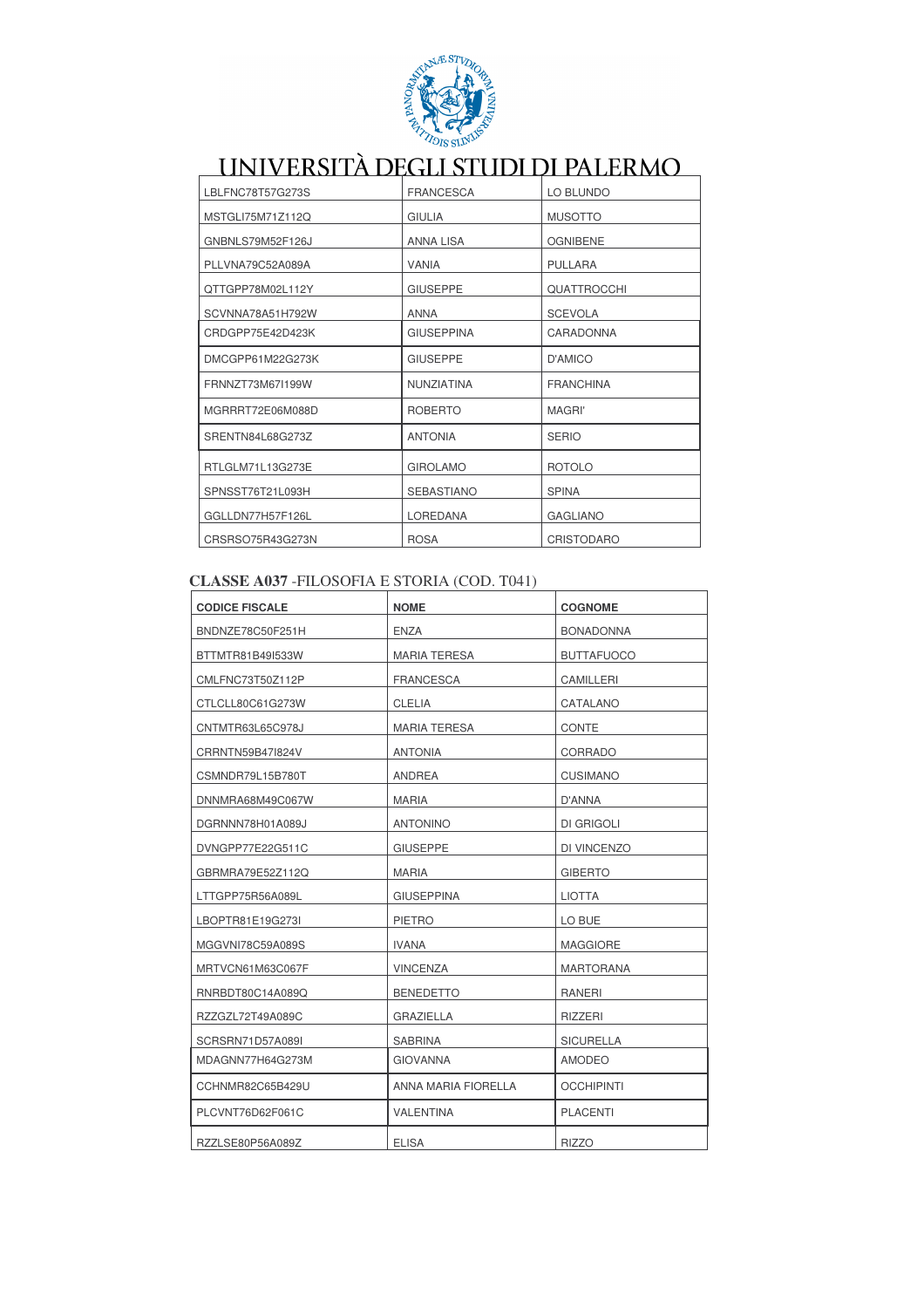

| LBLFNC78T57G273S | <b>FRANCESCA</b>  | LO BLUNDO          |
|------------------|-------------------|--------------------|
| MSTGLI75M71Z112Q | <b>GIULIA</b>     | <b>MUSOTTO</b>     |
| GNBNLS79M52F126J | <b>ANNA LISA</b>  | <b>OGNIBENE</b>    |
| PLLVNA79C52A089A | <b>VANIA</b>      | <b>PULLARA</b>     |
| QTTGPP78M02L112Y | <b>GIUSEPPE</b>   | <b>QUATTROCCHI</b> |
| SCVNNA78A51H792W | <b>ANNA</b>       | <b>SCEVOLA</b>     |
| CRDGPP75E42D423K | <b>GIUSEPPINA</b> | CARADONNA          |
| DMCGPP61M22G273K | <b>GIUSEPPE</b>   | D'AMICO            |
| FRNNZT73M67I199W | NUNZIATINA        | <b>FRANCHINA</b>   |
| MGRRRT72E06M088D | <b>ROBERTO</b>    | <b>MAGRI'</b>      |
| SRENTN84L68G273Z | <b>ANTONIA</b>    | <b>SERIO</b>       |
| RTLGLM71L13G273E | <b>GIROLAMO</b>   | <b>ROTOLO</b>      |
| SPNSST76T21L093H | <b>SEBASTIANO</b> | <b>SPINA</b>       |
| GGLLDN77H57F126L | <b>LOREDANA</b>   | <b>GAGLIANO</b>    |
| CRSRSO75R43G273N | <b>ROSA</b>       | CRISTODARO         |

### CLASSE A037 - FILOSOFIA E STORIA (COD. T041)

| <b>CODICE FISCALE</b> | <b>NOME</b>         | <b>COGNOME</b>    |
|-----------------------|---------------------|-------------------|
| BNDNZE78C50F251H      | <b>ENZA</b>         | <b>BONADONNA</b>  |
| BTTMTR81B49I533W      | <b>MARIA TERESA</b> | <b>BUTTAFUOCO</b> |
| CMLFNC73T50Z112P      | <b>FRANCESCA</b>    | CAMILLERI         |
| CTLCLL80C61G273W      | <b>CLELIA</b>       | CATALANO          |
| CNTMTR63L65C978J      | <b>MARIA TERESA</b> | CONTE             |
| CRRNTN59B47I824V      | <b>ANTONIA</b>      | CORRADO           |
| CSMNDR79L15B780T      | <b>ANDREA</b>       | <b>CUSIMANO</b>   |
| DNNMRA68M49C067W      | <b>MARIA</b>        | D'ANNA            |
| DGRNNN78H01A089J      | <b>ANTONINO</b>     | DI GRIGOLI        |
| DVNGPP77E22G511C      | <b>GIUSEPPE</b>     | DI VINCENZO       |
| GBRMRA79E52Z112Q      | <b>MARIA</b>        | <b>GIBERTO</b>    |
| LTTGPP75R56A089L      | <b>GIUSEPPINA</b>   | <b>LIOTTA</b>     |
| LBOPTR81E19G273I      | <b>PIETRO</b>       | LO BUE            |
| MGGVNI78C59A089S      | <b>IVANA</b>        | <b>MAGGIORE</b>   |
| MRTVCN61M63C067F      | <b>VINCENZA</b>     | <b>MARTORANA</b>  |
| RNRBDT80C14A089Q      | <b>BENEDETTO</b>    | <b>RANERI</b>     |
| RZZGZL72T49A089C      | <b>GRAZIELLA</b>    | <b>RIZZERI</b>    |
| SCRSRN71D57A089I      | <b>SABRINA</b>      | <b>SICURELLA</b>  |
| MDAGNN77H64G273M      | <b>GIOVANNA</b>     | AMODEO            |
| CCHNMR82C65B429U      | ANNA MARIA FIORELLA | <b>OCCHIPINTI</b> |
| PLCVNT76D62F061C      | <b>VALENTINA</b>    | <b>PLACENTI</b>   |
| RZZLSE80P56A089Z      | <b>ELISA</b>        | <b>RIZZO</b>      |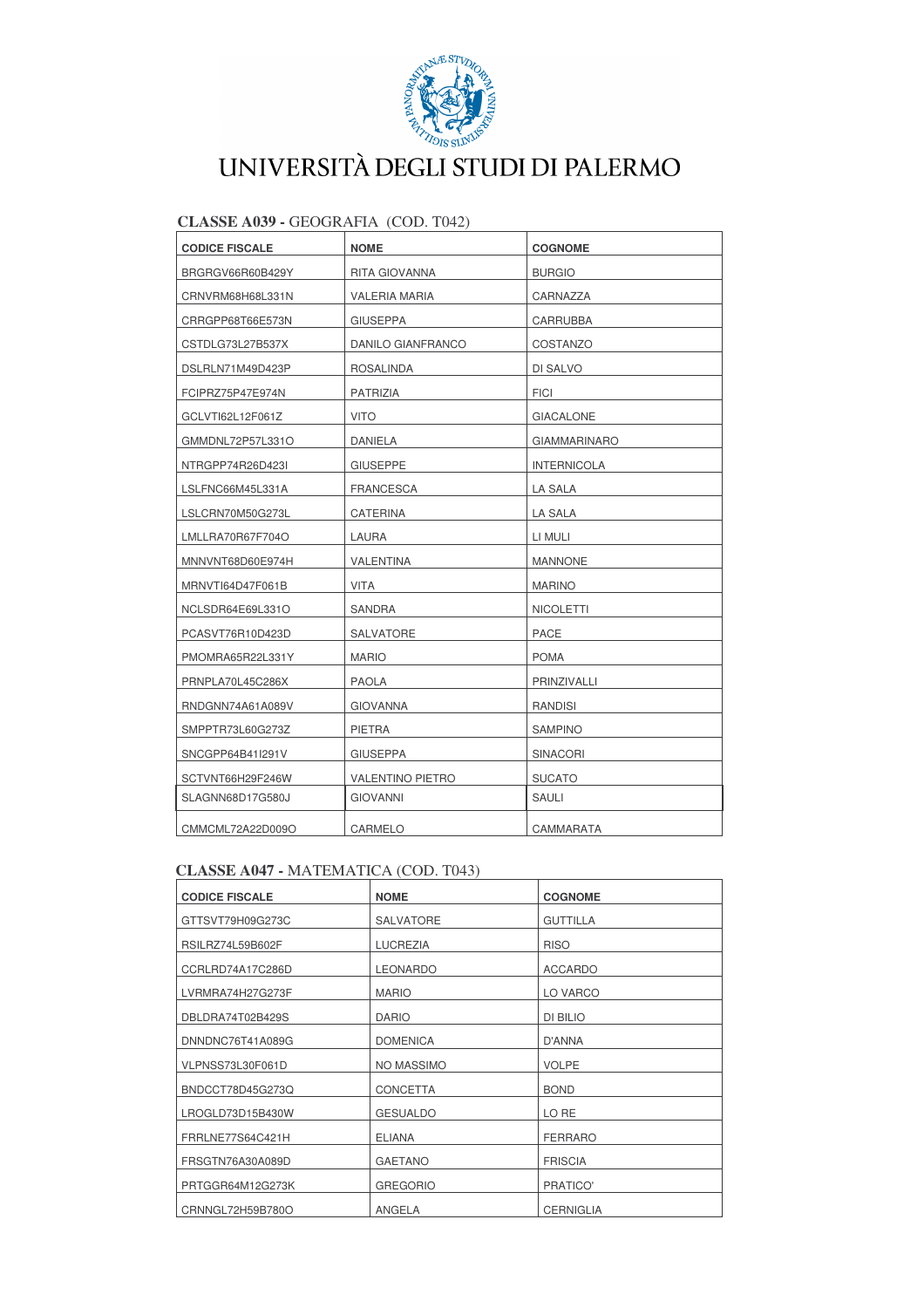

| CLASSE AUSS • ULOURAPIA (COD. 1042) |                       |                         |                     |
|-------------------------------------|-----------------------|-------------------------|---------------------|
|                                     | <b>CODICE FISCALE</b> | <b>NOME</b>             | <b>COGNOME</b>      |
|                                     | BRGRGV66R60B429Y      | RITA GIOVANNA           | <b>BURGIO</b>       |
|                                     | CRNVRM68H68L331N      | <b>VALERIA MARIA</b>    | CARNAZZA            |
|                                     | CRRGPP68T66E573N      | <b>GIUSEPPA</b>         | CARRUBBA            |
|                                     | CSTDLG73L27B537X      | DANILO GIANFRANCO       | COSTANZO            |
|                                     | DSLRLN71M49D423P      | ROSALINDA               | DI SALVO            |
|                                     | FCIPRZ75P47E974N      | <b>PATRIZIA</b>         | <b>FICI</b>         |
|                                     | GCLVTI62L12F061Z      | <b>VITO</b>             | <b>GIACALONE</b>    |
|                                     | GMMDNL72P57L331O      | DANIELA                 | <b>GIAMMARINARO</b> |
|                                     | NTRGPP74R26D423I      | <b>GIUSEPPE</b>         | <b>INTERNICOLA</b>  |
|                                     | LSLFNC66M45L331A      | <b>FRANCESCA</b>        | LA SALA             |
|                                     | LSLCRN70M50G273L      | <b>CATERINA</b>         | LA SALA             |
|                                     | LMLLRA70R67F704O      | LAURA                   | LI MULI             |
|                                     | MNNVNT68D60E974H      | <b>VALENTINA</b>        | <b>MANNONE</b>      |
|                                     | MRNVTI64D47F061B      | <b>VITA</b>             | <b>MARINO</b>       |
|                                     | NCLSDR64E69L331O      | SANDRA                  | <b>NICOLETTI</b>    |
|                                     | PCASVT76R10D423D      | SALVATORE               | PACE                |
|                                     | PMOMRA65R22L331Y      | <b>MARIO</b>            | <b>POMA</b>         |
|                                     | PRNPLA70L45C286X      | <b>PAOLA</b>            | PRINZIVALLI         |
|                                     | RNDGNN74A61A089V      | <b>GIOVANNA</b>         | RANDISI             |
|                                     | SMPPTR73L60G273Z      | PIETRA                  | <b>SAMPINO</b>      |
|                                     | SNCGPP64B41I291V      | <b>GIUSEPPA</b>         | <b>SINACORI</b>     |
|                                     | SCTVNT66H29F246W      | <b>VALENTINO PIETRO</b> | <b>SUCATO</b>       |
|                                     | SLAGNN68D17G580J      | <b>GIOVANNI</b>         | SAULI               |
|                                     | CMMCML72A22D009O      | CARMELO                 | CAMMARATA           |
|                                     |                       |                         |                     |

### $CLASSE A039 - GEOGRAFIA (COD T042)$

### CLASSE A047 - MATEMATICA (COD. T043)

| <b>CODICE FISCALE</b> | <b>NOME</b>      | <b>COGNOME</b>   |
|-----------------------|------------------|------------------|
| GTTSVT79H09G273C      | <b>SALVATORE</b> | <b>GUTTILLA</b>  |
| RSILRZ74L59B602F      | <b>LUCREZIA</b>  | <b>RISO</b>      |
| CCRLRD74A17C286D      | <b>LEONARDO</b>  | <b>ACCARDO</b>   |
| LVRMRA74H27G273F      | <b>MARIO</b>     | LO VARCO         |
| DBLDRA74T02B429S      | <b>DARIO</b>     | DI BILIO         |
| DNNDNC76T41A089G      | <b>DOMENICA</b>  | D'ANNA           |
| VLPNSS73L30F061D      | NO MASSIMO       | <b>VOLPE</b>     |
| BNDCCT78D45G273Q      | <b>CONCETTA</b>  | <b>BOND</b>      |
| LROGLD73D15B430W      | <b>GESUALDO</b>  | LO RE            |
| FRRLNE77S64C421H      | <b>ELIANA</b>    | <b>FERRARO</b>   |
| FRSGTN76A30A089D      | <b>GAETANO</b>   | <b>FRISCIA</b>   |
| PRTGGR64M12G273K      | <b>GREGORIO</b>  | PRATICO'         |
| CRNNGL72H59B780O      | ANGELA           | <b>CERNIGLIA</b> |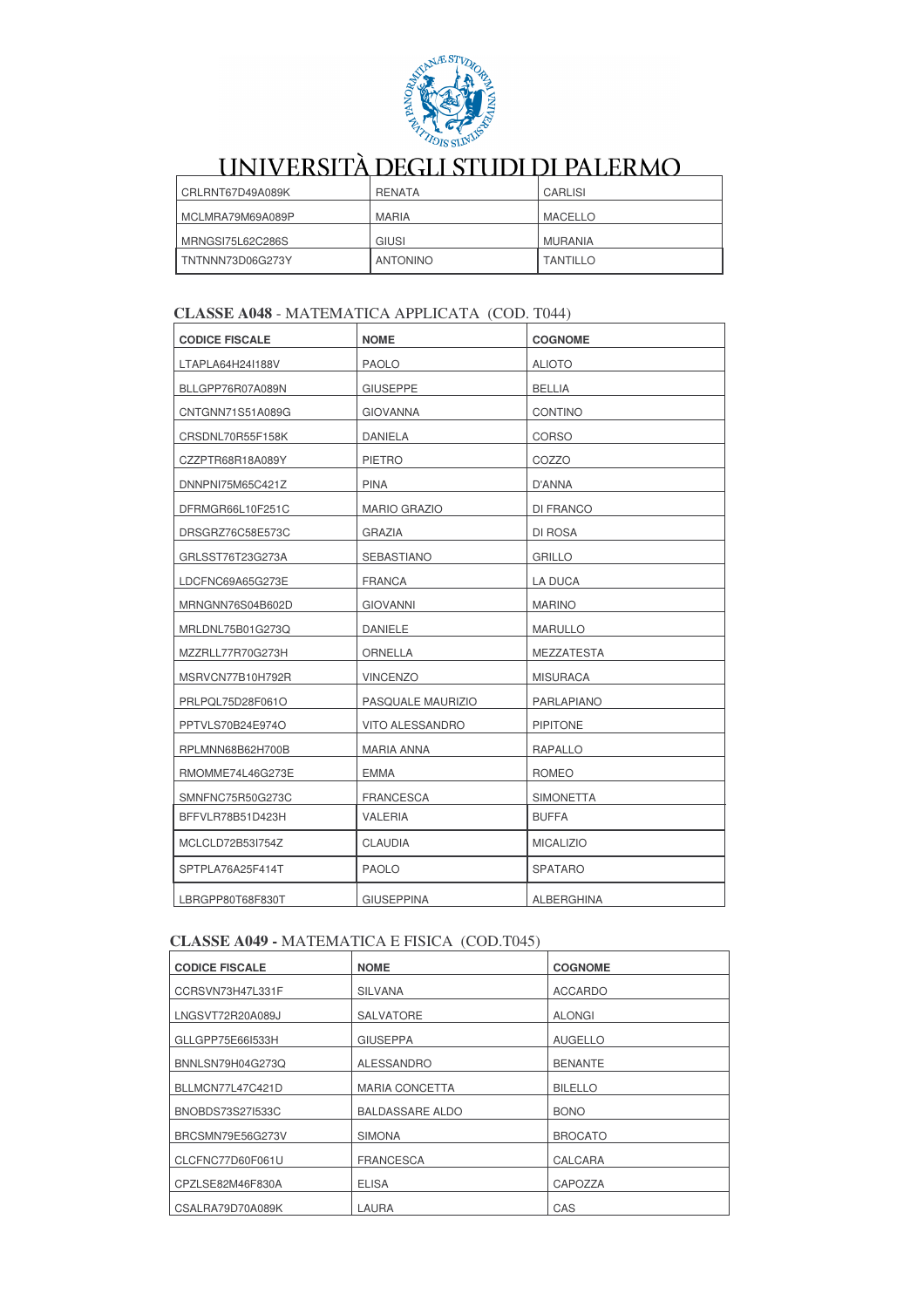

| CRLRNT67D49A089K | RENATA          | CARLISI         |
|------------------|-----------------|-----------------|
| MCLMRA79M69A089P | <b>MARIA</b>    | MACELLO         |
| MRNGSI75L62C286S | GIUSI           | MURANIA         |
| TNTNNN73D06G273Y | <b>ANTONINO</b> | <b>TANTILLO</b> |

#### **CLASSE A048 - MATEMATICA APPLICATA (COD. T044)**

| <b>CODICE FISCALE</b> | <b>NOME</b>            | <b>COGNOME</b>    |
|-----------------------|------------------------|-------------------|
| LTAPLA64H24I188V      | <b>PAOLO</b>           | <b>ALIOTO</b>     |
| BLLGPP76R07A089N      | <b>GIUSEPPE</b>        | <b>BELLIA</b>     |
| CNTGNN71S51A089G      | <b>GIOVANNA</b>        | <b>CONTINO</b>    |
| CRSDNL70R55F158K      | <b>DANIELA</b>         | <b>CORSO</b>      |
| CZZPTR68R18A089Y      | <b>PIETRO</b>          | COZZO             |
| DNNPNI75M65C421Z      | <b>PINA</b>            | D'ANNA            |
| DFRMGR66L10F251C      | <b>MARIO GRAZIO</b>    | DI FRANCO         |
| DRSGRZ76C58E573C      | <b>GRAZIA</b>          | DI ROSA           |
| GRLSST76T23G273A      | <b>SEBASTIANO</b>      | <b>GRILLO</b>     |
| LDCFNC69A65G273E      | <b>FRANCA</b>          | <b>LA DUCA</b>    |
| MRNGNN76S04B602D      | <b>GIOVANNI</b>        | <b>MARINO</b>     |
| MRLDNL75B01G273Q      | <b>DANIELE</b>         | <b>MARULLO</b>    |
| MZZRLL77R70G273H      | ORNELLA                | <b>MEZZATESTA</b> |
| MSRVCN77B10H792R      | <b>VINCENZO</b>        | <b>MISURACA</b>   |
| PRLPQL75D28F061O      | PASQUALE MAURIZIO      | PARLAPIANO        |
| PPTVLS70B24E974O      | <b>VITO ALESSANDRO</b> | <b>PIPITONE</b>   |
| RPLMNN68B62H700B      | MARIA ANNA             | RAPALLO           |
| RMOMME74L46G273E      | <b>EMMA</b>            | <b>ROMEO</b>      |
| SMNFNC75R50G273C      | <b>FRANCESCA</b>       | <b>SIMONETTA</b>  |
| BFFVLR78B51D423H      | <b>VALERIA</b>         | <b>BUFFA</b>      |
| MCLCLD72B53I754Z      | <b>CLAUDIA</b>         | <b>MICALIZIO</b>  |
| SPTPLA76A25F414T      | <b>PAOLO</b>           | <b>SPATARO</b>    |
| LBRGPP80T68F830T      | <b>GIUSEPPINA</b>      | <b>ALBERGHINA</b> |

#### **CLASSE A049 - MATEMATICA E FISICA (COD.T045)**

| <b>CODICE FISCALE</b> | <b>NOME</b>            | <b>COGNOME</b> |
|-----------------------|------------------------|----------------|
| CCRSVN73H47L331F      | <b>SILVANA</b>         | <b>ACCARDO</b> |
| LNGSVT72R20A089J      | <b>SALVATORE</b>       | <b>ALONGI</b>  |
| GLLGPP75E661533H      | <b>GIUSEPPA</b>        | <b>AUGELLO</b> |
| BNNLSN79H04G273Q      | <b>ALESSANDRO</b>      | <b>BENANTE</b> |
| BLLMCN77L47C421D      | <b>MARIA CONCETTA</b>  | <b>BILELLO</b> |
| BNOBDS73S27I533C      | <b>BALDASSARE ALDO</b> | <b>BONO</b>    |
| BRCSMN79E56G273V      | <b>SIMONA</b>          | <b>BROCATO</b> |
| CLCFNC77D60F061U      | <b>FRANCESCA</b>       | CALCARA        |
| CPZLSE82M46F830A      | <b>ELISA</b>           | CAPOZZA        |
| CSALRA79D70A089K      | LAURA                  | CAS            |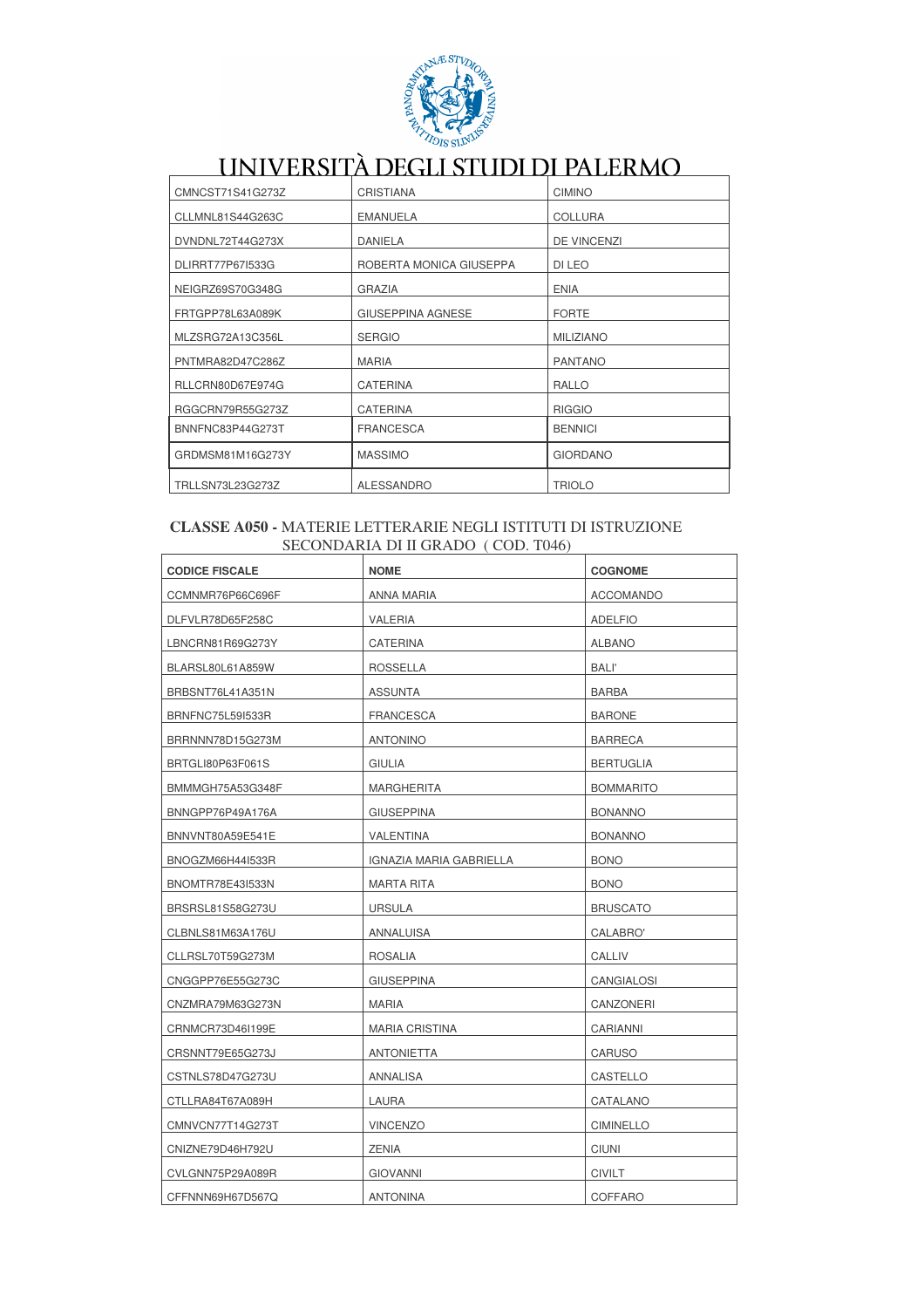

|                  | UNIVERSITÀ DEGLI STUDI DI PALERMO |                    |
|------------------|-----------------------------------|--------------------|
| CMNCST71S41G273Z | <b>CRISTIANA</b>                  | <b>CIMINO</b>      |
| CLLMNL81S44G263C | <b>EMANUELA</b>                   | <b>COLLURA</b>     |
| DVNDNL72T44G273X | DANIELA                           | <b>DE VINCENZI</b> |
| DLIRRT77P67I533G | ROBERTA MONICA GIUSEPPA           | DI LEO             |
| NEIGRZ69S70G348G | <b>GRAZIA</b>                     | <b>ENIA</b>        |
| FRTGPP78L63A089K | <b>GIUSEPPINA AGNESE</b>          | <b>FORTE</b>       |
| MLZSRG72A13C356L | <b>SERGIO</b>                     | <b>MILIZIANO</b>   |
| PNTMRA82D47C286Z | <b>MARIA</b>                      | <b>PANTANO</b>     |
| RLLCRN80D67E974G | <b>CATERINA</b>                   | <b>RALLO</b>       |
| RGGCRN79R55G273Z | <b>CATERINA</b>                   | <b>RIGGIO</b>      |
| BNNFNC83P44G273T | <b>FRANCESCA</b>                  | <b>BENNICI</b>     |
| GRDMSM81M16G273Y | <b>MASSIMO</b>                    | <b>GIORDANO</b>    |
| TRLLSN73L23G273Z | <b>ALESSANDRO</b>                 | <b>TRIOLO</b>      |

#### CLASSE A050 - MATERIE LETTERARIE NEGLI ISTITUTI DI ISTRUZIONE SECONDARIA DI II GRADO (COD. T046)

| <b>CODICE FISCALE</b>   | <b>NOME</b>             | <b>COGNOME</b>    |
|-------------------------|-------------------------|-------------------|
| CCMNMR76P66C696F        | ANNA MARIA              | <b>ACCOMANDO</b>  |
| DLFVLR78D65F258C        | VALERIA                 | <b>ADELFIO</b>    |
| LBNCRN81R69G273Y        | CATERINA                | <b>ALBANO</b>     |
| BLARSL80L61A859W        | <b>ROSSELLA</b>         | <b>BALI'</b>      |
| BRBSNT76L41A351N        | <b>ASSUNTA</b>          | <b>BARBA</b>      |
| <b>BRNFNC75L59I533R</b> | FRANCESCA               | <b>BARONE</b>     |
| BRRNNN78D15G273M        | ANTONINO                | <b>BARRECA</b>    |
| BRTGLI80P63F061S        | GIULIA                  | <b>BERTUGLIA</b>  |
| BMMMGH75A53G348F        | <b>MARGHERITA</b>       | <b>BOMMARITO</b>  |
| BNNGPP76P49A176A        | GIUSEPPINA              | <b>BONANNO</b>    |
| BNNVNT80A59E541E        | VALENTINA               | <b>BONANNO</b>    |
| BNOGZM66H44I533R        | IGNAZIA MARIA GABRIELLA | <b>BONO</b>       |
| BNOMTR78E43I533N        | <b>MARTA RITA</b>       | <b>BONO</b>       |
| BRSRSL81S58G273U        | <b>URSULA</b>           | <b>BRUSCATO</b>   |
| CLBNLS81M63A176U        | ANNALUISA               | CALABRO'          |
| CLLRSL70T59G273M        | <b>ROSALIA</b>          | CALLIV            |
| CNGGPP76E55G273C        | <b>GIUSEPPINA</b>       | <b>CANGIALOSI</b> |
| CNZMRA79M63G273N        | MARIA                   | CANZONERI         |
| CRNMCR73D46I199E        | <b>MARIA CRISTINA</b>   | CARIANNI          |
| CRSNNT79E65G273J        | ANTONIETTA              | <b>CARUSO</b>     |
| CSTNLS78D47G273U        | ANNALISA                | CASTELLO          |
| CTLLRA84T67A089H        | LAURA                   | CATALANO          |
| CMNVCN77T14G273T        | <b>VINCENZO</b>         | <b>CIMINELLO</b>  |
| CNIZNE79D46H792U        | <b>ZENIA</b>            | <b>CIUNI</b>      |
| CVLGNN75P29A089R        | <b>GIOVANNI</b>         | <b>CIVILT</b>     |
| CFFNNN69H67D567Q        | <b>ANTONINA</b>         | <b>COFFARO</b>    |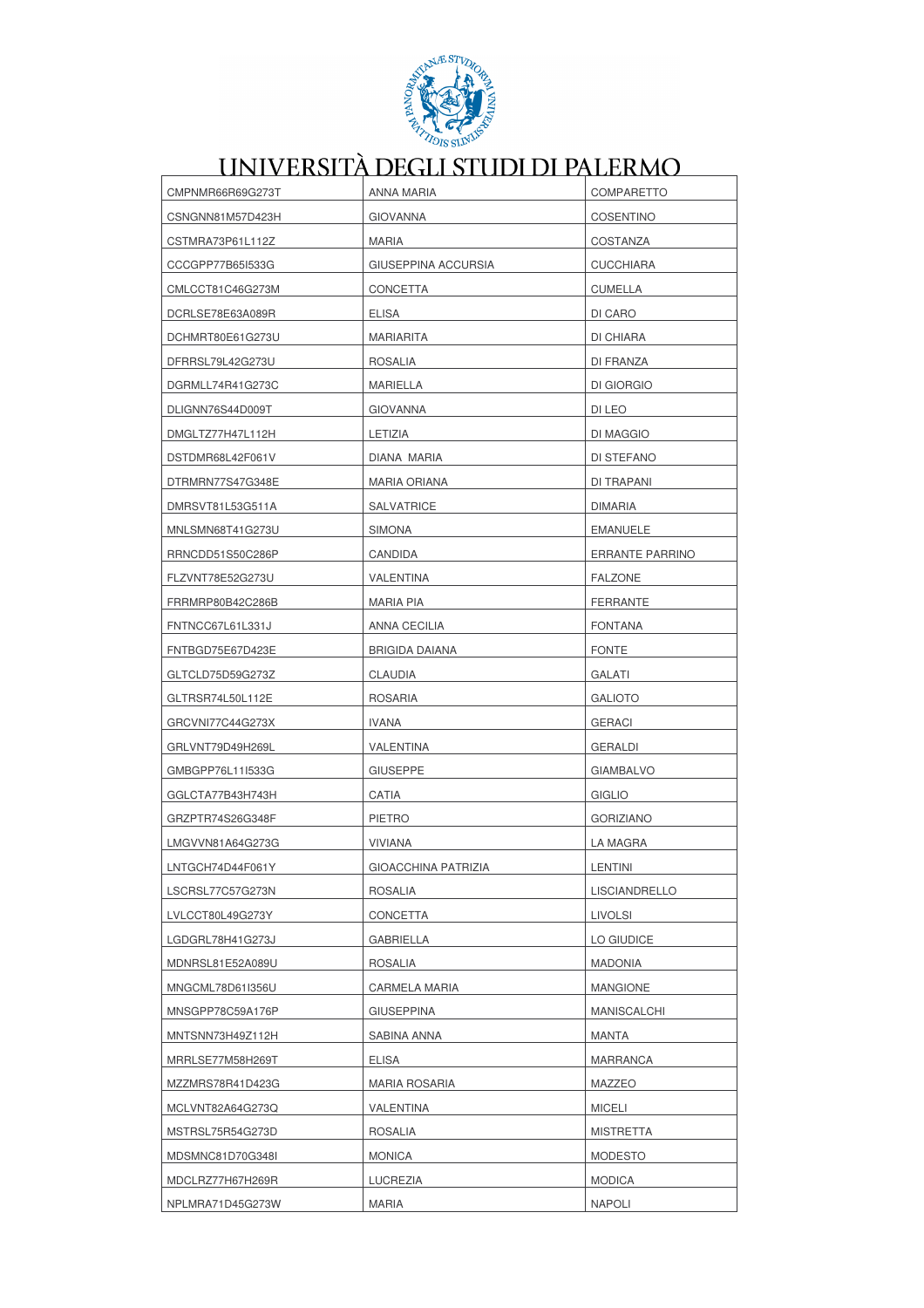

| CMPNMR66R69G273T | ANNA MARIA                 | COMPARETTO             |
|------------------|----------------------------|------------------------|
| CSNGNN81M57D423H | <b>GIOVANNA</b>            | <b>COSENTINO</b>       |
| CSTMRA73P61L112Z | <b>MARIA</b>               | COSTANZA               |
| CCCGPP77B65I533G | GIUSEPPINA ACCURSIA        | <b>CUCCHIARA</b>       |
| CMLCCT81C46G273M | <b>CONCETTA</b>            | <b>CUMELLA</b>         |
| DCRLSE78E63A089R | <b>ELISA</b>               | DI CARO                |
| DCHMRT80E61G273U | MARIARITA                  | DI CHIARA              |
| DFRRSL79L42G273U | <b>ROSALIA</b>             | DI FRANZA              |
| DGRMLL74R41G273C | MARIELLA                   | DI GIORGIO             |
| DLIGNN76S44D009T | <b>GIOVANNA</b>            | DI LEO                 |
| DMGLTZ77H47L112H | LETIZIA                    | DI MAGGIO              |
| DSTDMR68L42F061V | DIANA MARIA                | DI STEFANO             |
| DTRMRN77S47G348E | MARIA ORIANA               | DI TRAPANI             |
| DMRSVT81L53G511A | <b>SALVATRICE</b>          | <b>DIMARIA</b>         |
| MNLSMN68T41G273U | <b>SIMONA</b>              | <b>EMANUELE</b>        |
| RRNCDD51S50C286P | CANDIDA                    | <b>ERRANTE PARRINO</b> |
| FLZVNT78E52G273U | VALENTINA                  | <b>FALZONE</b>         |
| FRRMRP80B42C286B | <b>MARIA PIA</b>           | FERRANTE               |
| FNTNCC67L61L331J | ANNA CECILIA               | <b>FONTANA</b>         |
| FNTBGD75E67D423E | <b>BRIGIDA DAIANA</b>      | <b>FONTE</b>           |
| GLTCLD75D59G273Z | CLAUDIA                    | <b>GALATI</b>          |
| GLTRSR74L50L112E | <b>ROSARIA</b>             | <b>GALIOTO</b>         |
| GRCVNI77C44G273X | <b>IVANA</b>               | <b>GERACI</b>          |
| GRLVNT79D49H269L | VALENTINA                  | GERALDI                |
| GMBGPP76L11I533G | <b>GIUSEPPE</b>            | <b>GIAMBALVO</b>       |
| GGLCTA77B43H743H | CATIA                      | GIGLIO                 |
| GRZPTR74S26G348F | <b>PIETRO</b>              | <b>GORIZIANO</b>       |
| LMGVVN81A64G273G | <b>VIVIANA</b>             | LA MAGRA               |
| LNTGCH74D44F061Y | <b>GIOACCHINA PATRIZIA</b> | <b>LENTINI</b>         |
| LSCRSL77C57G273N | ROSALIA                    | LISCIANDRELLO          |
| LVLCCT80L49G273Y | CONCETTA                   | <b>LIVOLSI</b>         |
| LGDGRL78H41G273J | <b>GABRIELLA</b>           | LO GIUDICE             |
| MDNRSL81E52A089U | <b>ROSALIA</b>             | <b>MADONIA</b>         |
| MNGCML78D61I356U | <b>CARMELA MARIA</b>       | <b>MANGIONE</b>        |
| MNSGPP78C59A176P | <b>GIUSEPPINA</b>          | <b>MANISCALCHI</b>     |
| MNTSNN73H49Z112H | SABINA ANNA                | <b>MANTA</b>           |
| MRRLSE77M58H269T | <b>ELISA</b>               | <b>MARRANCA</b>        |
| MZZMRS78R41D423G | <b>MARIA ROSARIA</b>       | MAZZEO                 |
| MCLVNT82A64G273Q | VALENTINA                  | <b>MICELI</b>          |
| MSTRSL75R54G273D | <b>ROSALIA</b>             | <b>MISTRETTA</b>       |
| MDSMNC81D70G348I | <b>MONICA</b>              | <b>MODESTO</b>         |
| MDCLRZ77H67H269R | LUCREZIA                   | <b>MODICA</b>          |
| NPLMRA71D45G273W | <b>MARIA</b>               | <b>NAPOLI</b>          |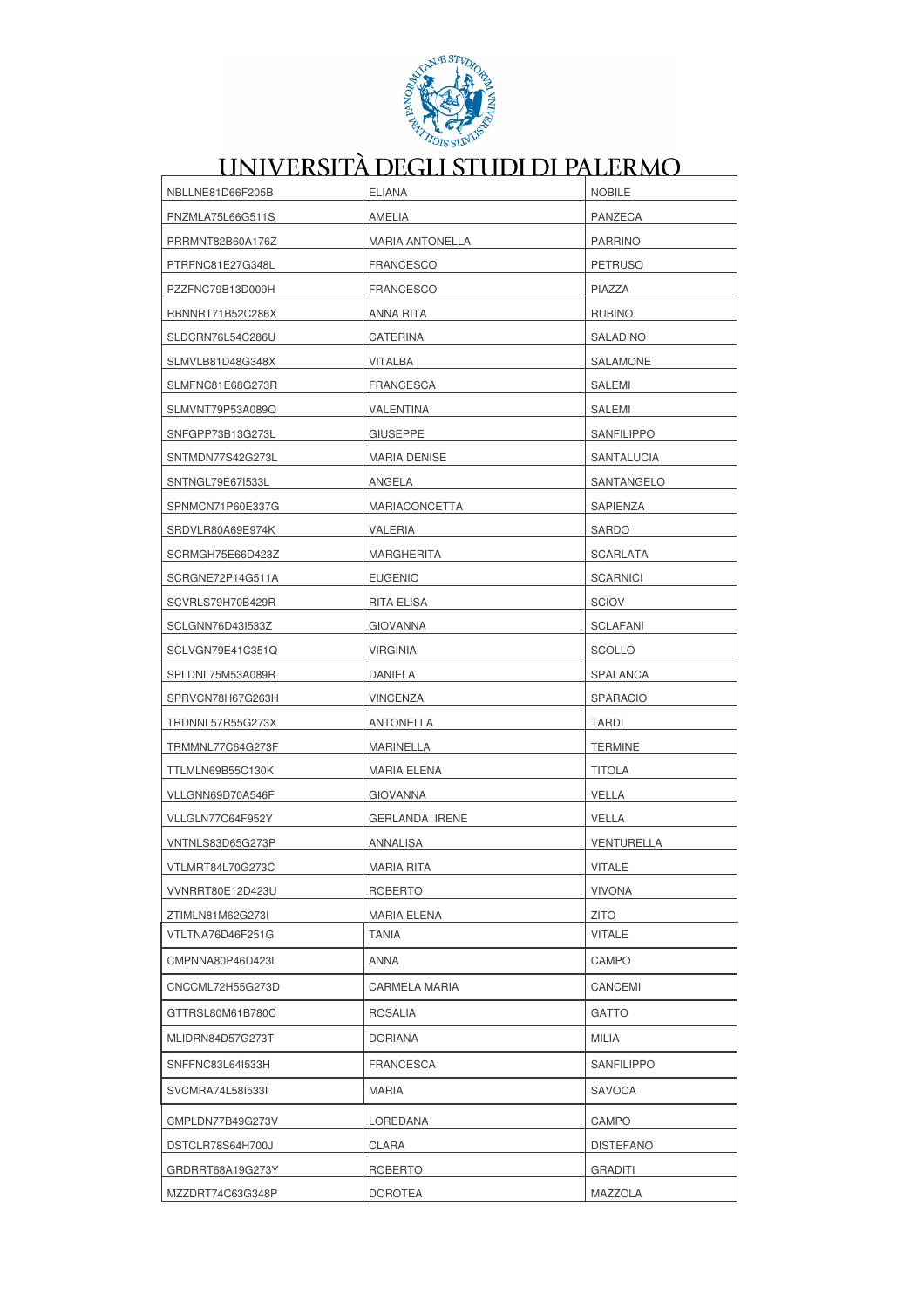

| NBLLNE81D66F205B | <b>ELIANA</b>          | <b>NOBILE</b>     |
|------------------|------------------------|-------------------|
| PNZMLA75L66G511S | AMELIA                 | PANZECA           |
| PRRMNT82B60A176Z | <b>MARIA ANTONELLA</b> | <b>PARRINO</b>    |
| PTRFNC81E27G348L | <b>FRANCESCO</b>       | <b>PETRUSO</b>    |
| PZZFNC79B13D009H | <b>FRANCESCO</b>       | PIAZZA            |
| RBNNRT71B52C286X | ANNA RITA              | <b>RUBINO</b>     |
| SLDCRN76L54C286U | CATERINA               | SALADINO          |
| SLMVLB81D48G348X | <b>VITALBA</b>         | SALAMONE          |
| SLMFNC81E68G273R | <b>FRANCESCA</b>       | SALEMI            |
| SLMVNT79P53A089Q | VALENTINA              | SALEMI            |
| SNFGPP73B13G273L | <b>GIUSEPPE</b>        | SANFILIPPO        |
| SNTMDN77S42G273L | MARIA DENISE           | SANTALUCIA        |
| SNTNGL79E67I533L | ANGELA                 | SANTANGELO        |
| SPNMCN71P60E337G | <b>MARIACONCETTA</b>   | SAPIENZA          |
| SRDVLR80A69E974K | VALERIA                | <b>SARDO</b>      |
| SCRMGH75E66D423Z | MARGHERITA             | <b>SCARLATA</b>   |
| SCRGNE72P14G511A | <b>EUGENIO</b>         | <b>SCARNICI</b>   |
| SCVRLS79H70B429R | RITA ELISA             | <b>SCIOV</b>      |
| SCLGNN76D43I533Z | <b>GIOVANNA</b>        | <b>SCLAFANI</b>   |
| SCLVGN79E41C351Q | <b>VIRGINIA</b>        | <b>SCOLLO</b>     |
| SPLDNL75M53A089R | DANIELA                | SPALANCA          |
| SPRVCN78H67G263H | <b>VINCENZA</b>        | <b>SPARACIO</b>   |
| TRDNNL57R55G273X | <b>ANTONELLA</b>       | <b>TARDI</b>      |
| TRMMNL77C64G273F | MARINELLA              | <b>TERMINE</b>    |
| TTLMLN69B55C130K | MARIA ELENA            | <b>TITOLA</b>     |
| VLLGNN69D70A546F | <b>GIOVANNA</b>        | VELLA             |
| VLLGLN77C64F952Y | <b>GERLANDA IRENE</b>  | VELLA             |
| VNTNLS83D65G273P | <b>ANNALISA</b>        | <b>VENTURELLA</b> |
| VTLMRT84L70G273C | MARIA RITA             | <b>VITALE</b>     |
| VVNRRT80E12D423U | ROBERTO                | <b>VIVONA</b>     |
| ZTIMLN81M62G273I | MARIA ELENA            | <b>ZITO</b>       |
| VTLTNA76D46F251G | TANIA                  | VITALE            |
| CMPNNA80P46D423L | ANNA                   | CAMPO             |
| CNCCML72H55G273D | <b>CARMELA MARIA</b>   | CANCEMI           |
| GTTRSL80M61B780C | ROSALIA                | GATTO             |
| MLIDRN84D57G273T | DORIANA                | MILIA             |
| SNFFNC83L64I533H | <b>FRANCESCA</b>       | <b>SANFILIPPO</b> |
| SVCMRA74L5815331 | MARIA                  | SAVOCA            |
| CMPLDN77B49G273V | LOREDANA               | CAMPO             |
| DSTCLR78S64H700J | CLARA                  | <b>DISTEFANO</b>  |
| GRDRRT68A19G273Y | ROBERTO                | <b>GRADITI</b>    |
| MZZDRT74C63G348P | DOROTEA                | MAZZOLA           |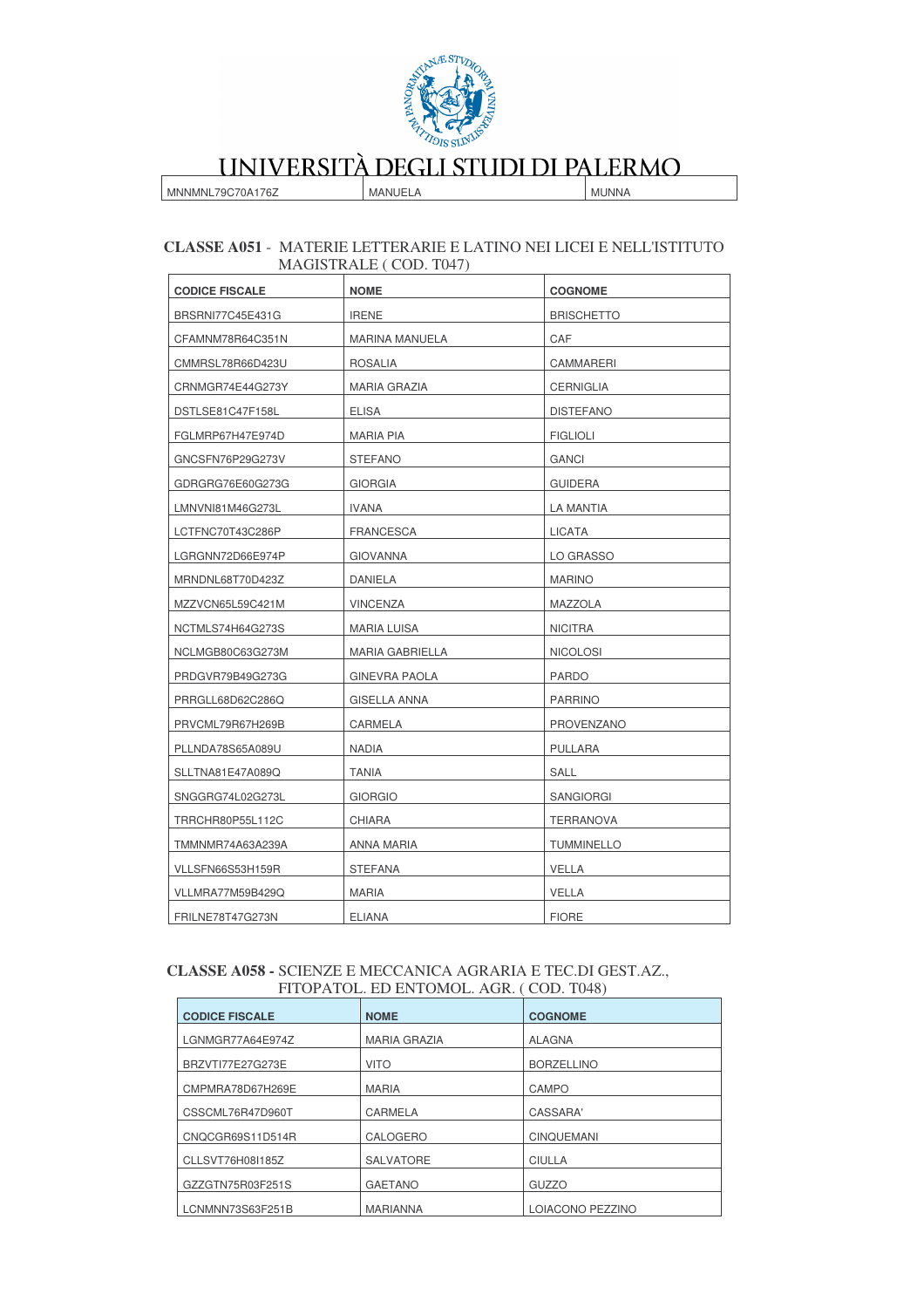

MNNMNL79C70A176Z

MANUELA

**MUNNA** 

#### CLASSE A051 - MATERIE LETTERARIE E LATINO NEI LICEI E NELL'ISTITUTO MAGISTRALE (COD. T047)

| <b>CODICE FISCALE</b> | <b>NOME</b>          | <b>COGNOME</b>    |
|-----------------------|----------------------|-------------------|
| BRSRNI77C45E431G      | <b>IRENE</b>         | <b>BRISCHETTO</b> |
| CFAMNM78R64C351N      | MARINA MANUELA       | CAF               |
| CMMRSL78R66D423U      | <b>ROSALIA</b>       | CAMMARERI         |
| CRNMGR74E44G273Y      | <b>MARIA GRAZIA</b>  | <b>CERNIGLIA</b>  |
| DSTLSE81C47F158L      | ELISA                | <b>DISTEFANO</b>  |
| FGLMRP67H47E974D      | <b>MARIA PIA</b>     | <b>FIGLIOLI</b>   |
| GNCSFN76P29G273V      | <b>STEFANO</b>       | <b>GANCI</b>      |
| GDRGRG76E60G273G      | <b>GIORGIA</b>       | <b>GUIDERA</b>    |
| LMNVNI81M46G273L      | IVANA                | LA MANTIA         |
| LCTFNC70T43C286P      | FRANCESCA            | LICATA            |
| LGRGNN72D66E974P      | <b>GIOVANNA</b>      | LO GRASSO         |
| MRNDNL68T70D423Z      | DANIELA              | <b>MARINO</b>     |
| MZZVCN65L59C421M      | <b>VINCENZA</b>      | MAZZOLA           |
| NCTMLS74H64G273S      | <b>MARIA LUISA</b>   | <b>NICITRA</b>    |
| NCLMGB80C63G273M      | MARIA GABRIELLA      | <b>NICOLOSI</b>   |
| PRDGVR79B49G273G      | <b>GINEVRA PAOLA</b> | <b>PARDO</b>      |
| PRRGLL68D62C286Q      | GISELLA ANNA         | <b>PARRINO</b>    |
| PRVCML79R67H269B      | CARMELA              | PROVENZANO        |
| PLLNDA78S65A089U      | <b>NADIA</b>         | <b>PULLARA</b>    |
| SLLTNA81E47A089Q      | <b>TANIA</b>         | SALL              |
| SNGGRG74L02G273L      | <b>GIORGIO</b>       | SANGIORGI         |
| TRRCHR80P55L112C      | <b>CHIARA</b>        | <b>TERRANOVA</b>  |
| TMMNMR74A63A239A      | ANNA MARIA           | <b>TUMMINELLO</b> |
| VLLSFN66S53H159R      | <b>STEFANA</b>       | <b>VELLA</b>      |
| VLLMRA77M59B429Q      | <b>MARIA</b>         | VELLA             |
| FRILNE78T47G273N      | <b>ELIANA</b>        | <b>FIORE</b>      |

#### CLASSE A058 - SCIENZE E MECCANICA AGRARIA E TEC.DI GEST.AZ., FITOPATOL. ED ENTOMOL. AGR. (COD. T048)

| 11101/1101, 110 11110/1101, 1101, 1000, 1010 |                     |                   |
|----------------------------------------------|---------------------|-------------------|
| <b>CODICE FISCALE</b>                        | <b>NOME</b>         | <b>COGNOME</b>    |
| LGNMGR77A64E974Z                             | <b>MARIA GRAZIA</b> | <b>ALAGNA</b>     |
| BRZVTI77E27G273E                             | <b>VITO</b>         | <b>BORZELLINO</b> |
| CMPMRA78D67H269E                             | <b>MARIA</b>        | CAMPO             |
| CSSCML76R47D960T                             | CARMELA             | CASSARA'          |
| CNQCGR69S11D514R                             | CALOGERO            | <b>CINQUEMANI</b> |
| CLLSVT76H08I185Z                             | <b>SALVATORE</b>    | <b>CIULLA</b>     |
| GZZGTN75R03F251S                             | <b>GAETANO</b>      | <b>GUZZO</b>      |
| LCNMNN73S63F251B                             | <b>MARIANNA</b>     | LOIACONO PEZZINO  |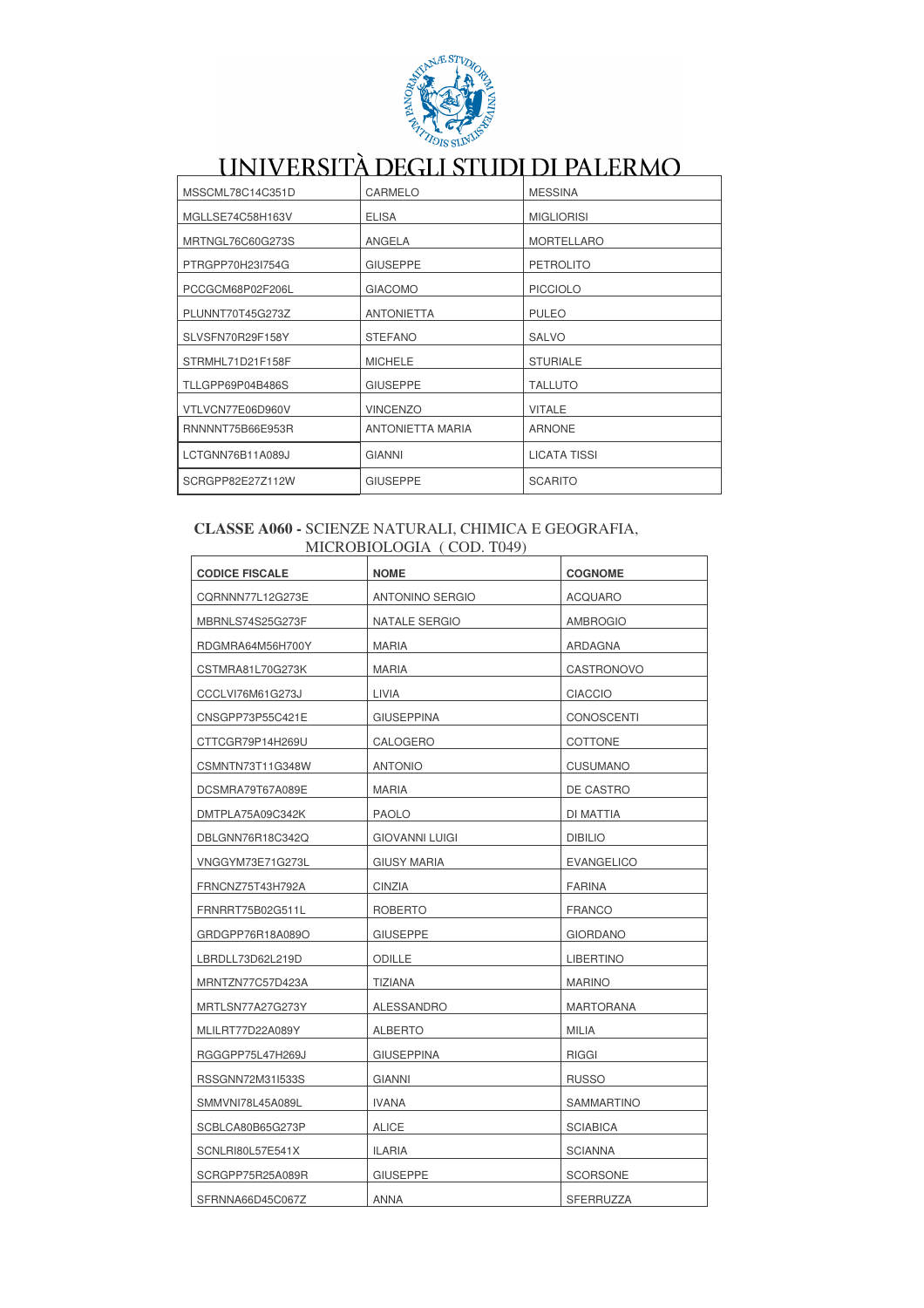

| MSSCML78C14C351D | CARMELO                 | <b>MESSINA</b>      |
|------------------|-------------------------|---------------------|
| MGLLSE74C58H163V | <b>ELISA</b>            | <b>MIGLIORISI</b>   |
| MRTNGL76C60G273S | ANGELA                  | <b>MORTELLARO</b>   |
| PTRGPP70H23I754G | <b>GIUSEPPE</b>         | <b>PETROLITO</b>    |
| PCCGCM68P02F206L | <b>GIACOMO</b>          | <b>PICCIOLO</b>     |
| PLUNNT70T45G273Z | <b>ANTONIETTA</b>       | <b>PULEO</b>        |
| SLVSFN70R29F158Y | <b>STEFANO</b>          | <b>SALVO</b>        |
| STRMHL71D21F158F | <b>MICHELE</b>          | <b>STURIALE</b>     |
| TLLGPP69P04B486S | <b>GIUSEPPE</b>         | <b>TALLUTO</b>      |
| VTLVCN77E06D960V | <b>VINCENZO</b>         | <b>VITALE</b>       |
| RNNNNT75B66E953R | <b>ANTONIETTA MARIA</b> | <b>ARNONE</b>       |
| LCTGNN76B11A089J | <b>GIANNI</b>           | <b>LICATA TISSI</b> |
| SCRGPP82E27Z112W | <b>GIUSEPPE</b>         | <b>SCARITO</b>      |

#### **CLASSE A060 -** SCIENZE NATURALI, CHIMICA E GEOGRAFIA, MICROBIOLOGIA ( COD. T049)

| <b>CODICE FISCALE</b> | <b>NOME</b>            | <b>COGNOME</b>    |
|-----------------------|------------------------|-------------------|
| CQRNNN77L12G273E      | <b>ANTONINO SERGIO</b> | <b>ACQUARO</b>    |
| MBRNLS74S25G273F      | NATALE SERGIO          | <b>AMBROGIO</b>   |
| RDGMRA64M56H700Y      | <b>MARIA</b>           | ARDAGNA           |
| CSTMRA81L70G273K      | MARIA                  | CASTRONOVO        |
| CCCLVI76M61G273J      | LIVIA                  | <b>CIACCIO</b>    |
| CNSGPP73P55C421E      | <b>GIUSEPPINA</b>      | <b>CONOSCENTI</b> |
| CTTCGR79P14H269U      | CALOGERO               | <b>COTTONE</b>    |
| CSMNTN73T11G348W      | <b>ANTONIO</b>         | <b>CUSUMANO</b>   |
| DCSMRA79T67A089E      | MARIA                  | DE CASTRO         |
| DMTPLA75A09C342K      | <b>PAOLO</b>           | DI MATTIA         |
| DBLGNN76R18C342Q      | <b>GIOVANNI LUIGI</b>  | <b>DIBILIO</b>    |
| VNGGYM73E71G273L      | <b>GIUSY MARIA</b>     | <b>EVANGELICO</b> |
| FRNCNZ75T43H792A      | CINZIA                 | <b>FARINA</b>     |
| FRNRRT75B02G511L      | <b>ROBERTO</b>         | <b>FRANCO</b>     |
| GRDGPP76R18A089O      | <b>GIUSEPPE</b>        | <b>GIORDANO</b>   |
| LBRDLL73D62L219D      | <b>ODILLE</b>          | <b>LIBERTINO</b>  |
| MRNTZN77C57D423A      | TIZIANA                | <b>MARINO</b>     |
| MRTLSN77A27G273Y      | ALESSANDRO             | <b>MARTORANA</b>  |
| MLILRT77D22A089Y      | <b>ALBERTO</b>         | <b>MILIA</b>      |
| RGGGPP75L47H269J      | <b>GIUSEPPINA</b>      | <b>RIGGI</b>      |
| RSSGNN72M31I533S      | <b>GIANNI</b>          | <b>RUSSO</b>      |
| SMMVNI78L45A089L      | <b>IVANA</b>           | <b>SAMMARTINO</b> |
| SCBLCA80B65G273P      | <b>ALICE</b>           | <b>SCIABICA</b>   |
| SCNLRI80L57E541X      | <b>ILARIA</b>          | <b>SCIANNA</b>    |
| SCRGPP75R25A089R      | <b>GIUSEPPE</b>        | <b>SCORSONE</b>   |
| SFRNNA66D45C067Z      | <b>ANNA</b>            | SFERRUZZA         |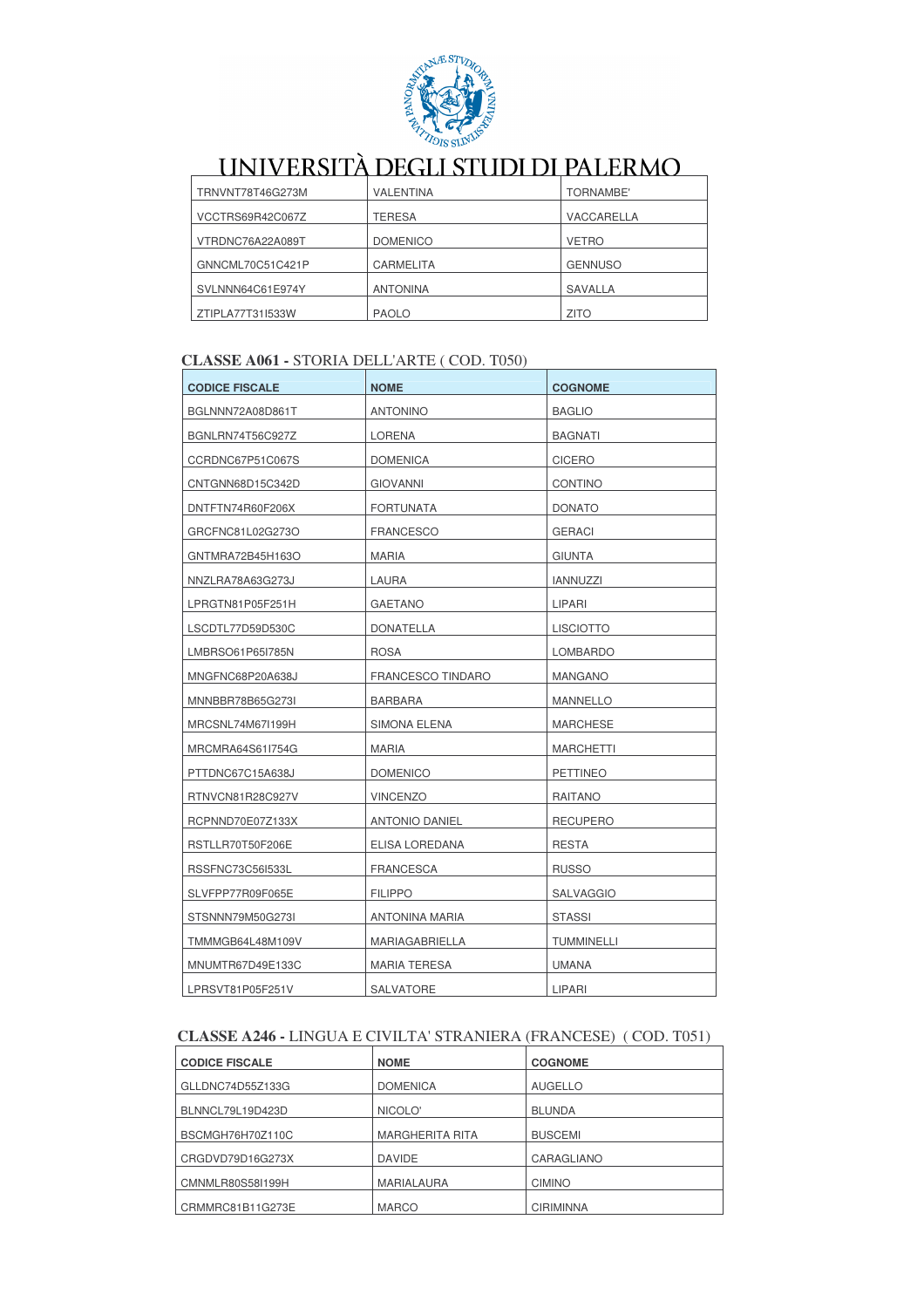

| TRNVNT78T46G273M | <b>VALENTINA</b> | <b>TORNAMBE'</b> |
|------------------|------------------|------------------|
| VCCTRS69R42C067Z | TERESA           | VACCARELLA       |
| VTRDNC76A22A089T | <b>DOMENICO</b>  | <b>VETRO</b>     |
| GNNCML70C51C421P | <b>CARMELITA</b> | <b>GENNUSO</b>   |
| SVLNNN64C61E974Y | <b>ANTONINA</b>  | SAVALLA          |
| ZTIPLA77T31I533W | <b>PAOLO</b>     | <b>ZITO</b>      |

### **CLASSE A061 - STORIA DELL'ARTE (COD. T050)**

| <b>CODICE FISCALE</b> | <b>NOME</b>              | <b>COGNOME</b>   |
|-----------------------|--------------------------|------------------|
| BGLNNN72A08D861T      | <b>ANTONINO</b>          | <b>BAGLIO</b>    |
| BGNLRN74T56C927Z      | LORENA                   | <b>BAGNATI</b>   |
| CCRDNC67P51C067S      | <b>DOMENICA</b>          | <b>CICERO</b>    |
| CNTGNN68D15C342D      | <b>GIOVANNI</b>          | <b>CONTINO</b>   |
| DNTFTN74R60F206X      | <b>FORTUNATA</b>         | <b>DONATO</b>    |
| GRCFNC81L02G273O      | <b>FRANCESCO</b>         | <b>GERACI</b>    |
| GNTMRA72B45H163O      | <b>MARIA</b>             | <b>GIUNTA</b>    |
| NNZLRA78A63G273J      | LAURA                    | <b>IANNUZZI</b>  |
| LPRGTN81P05F251H      | <b>GAETANO</b>           | LIPARI           |
| LSCDTL77D59D530C      | <b>DONATELLA</b>         | <b>LISCIOTTO</b> |
| LMBRSO61P65I785N      | <b>ROSA</b>              | LOMBARDO         |
| MNGFNC68P20A638J      | <b>FRANCESCO TINDARO</b> | <b>MANGANO</b>   |
| MNNBBR78B65G273I      | <b>BARBARA</b>           | <b>MANNELLO</b>  |
| MRCSNL74M67I199H      | <b>SIMONA ELENA</b>      | <b>MARCHESE</b>  |
| MRCMRA64S61I754G      | <b>MARIA</b>             | <b>MARCHETTI</b> |
| PTTDNC67C15A638J      | <b>DOMENICO</b>          | <b>PETTINEO</b>  |
| RTNVCN81R28C927V      | <b>VINCENZO</b>          | <b>RAITANO</b>   |
| RCPNND70E07Z133X      | <b>ANTONIO DANIEL</b>    | <b>RECUPERO</b>  |
| RSTLLR70T50F206E      | ELISA LOREDANA           | <b>RESTA</b>     |
| RSSFNC73C56I533L      | <b>FRANCESCA</b>         | <b>RUSSO</b>     |
| SLVFPP77R09F065E      | <b>FILIPPO</b>           | <b>SALVAGGIO</b> |
| STSNNN79M50G273I      | ANTONINA MARIA           | <b>STASSI</b>    |
| TMMMGB64L48M109V      | <b>MARIAGABRIELLA</b>    | TUMMINELLI       |
| MNUMTR67D49E133C      | <b>MARIA TERESA</b>      | <b>UMANA</b>     |
| LPRSVT81P05F251V      | <b>SALVATORE</b>         | <b>LIPARI</b>    |

### CLASSE A246 - LINGUA E CIVILTA' STRANIERA (FRANCESE) (COD. T051)

| <b>CODICE FISCALE</b> | <b>NOME</b>            | <b>COGNOME</b>   |
|-----------------------|------------------------|------------------|
| GLLDNC74D55Z133G      | <b>DOMENICA</b>        | <b>AUGELLO</b>   |
| BLNNCL79L19D423D      | NICOLO'                | <b>BLUNDA</b>    |
| BSCMGH76H70Z110C      | <b>MARGHERITA RITA</b> | <b>BUSCEMI</b>   |
| CRGDVD79D16G273X      | <b>DAVIDE</b>          | CARAGLIANO       |
| CMNMLR80S58I199H      | MARIALAURA             | <b>CIMINO</b>    |
| CRMMRC81B11G273E      | <b>MARCO</b>           | <b>CIRIMINNA</b> |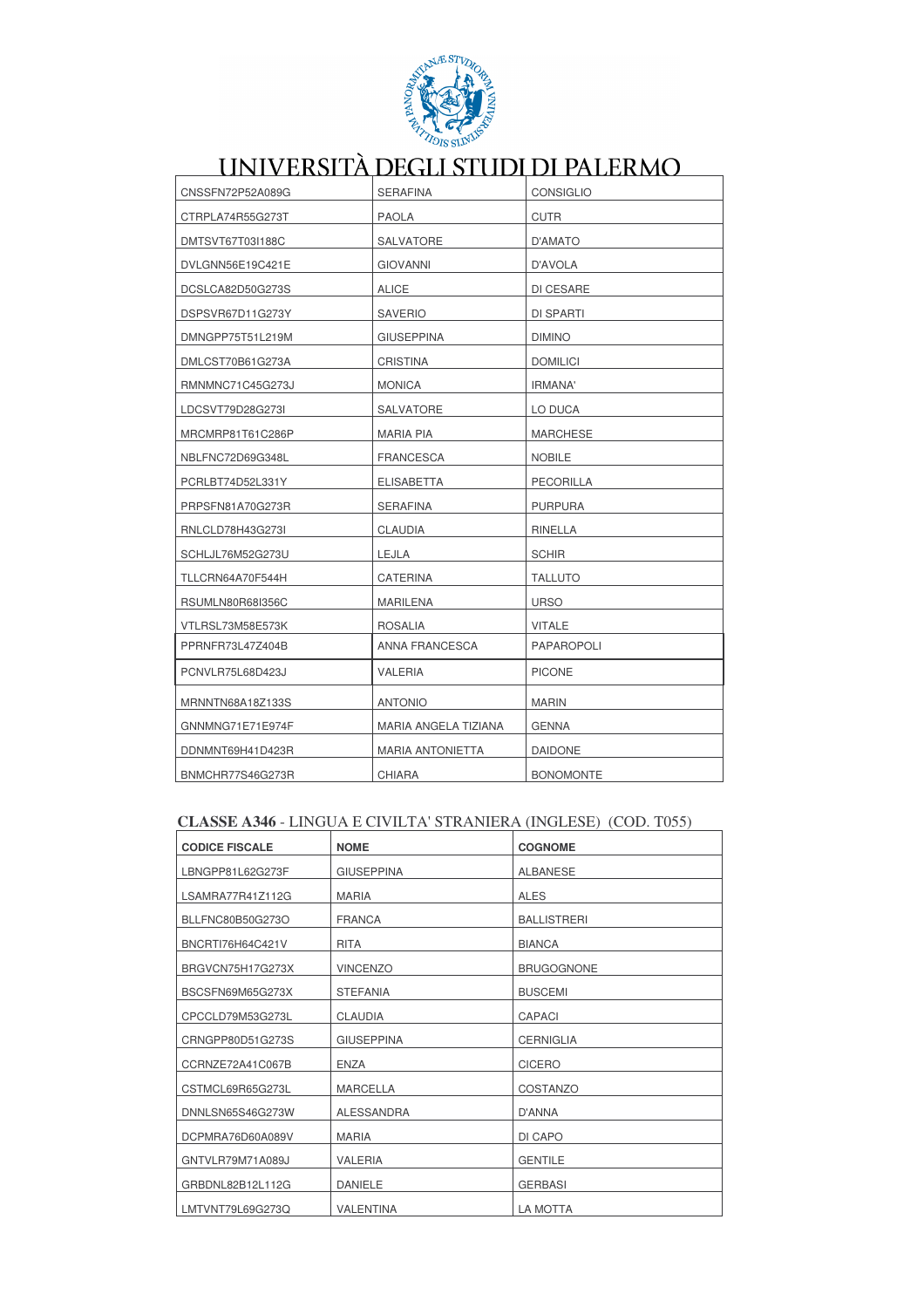

| CNSSFN72P52A089G | <b>SERAFINA</b>         | <b>CONSIGLIO</b>  |
|------------------|-------------------------|-------------------|
| CTRPLA74R55G273T | <b>PAOLA</b>            | <b>CUTR</b>       |
| DMTSVT67T03I188C | <b>SALVATORE</b>        | D'AMATO           |
| DVLGNN56E19C421E | <b>GIOVANNI</b>         | D'AVOLA           |
| DCSLCA82D50G273S | <b>ALICE</b>            | DI CESARE         |
| DSPSVR67D11G273Y | <b>SAVERIO</b>          | DI SPARTI         |
| DMNGPP75T51L219M | <b>GIUSEPPINA</b>       | <b>DIMINO</b>     |
| DMLCST70B61G273A | <b>CRISTINA</b>         | <b>DOMILICI</b>   |
| RMNMNC71C45G273J | <b>MONICA</b>           | IRMANA'           |
| LDCSVT79D28G273I | SALVATORE               | LO DUCA           |
| MRCMRP81T61C286P | <b>MARIA PIA</b>        | <b>MARCHESE</b>   |
| NBLFNC72D69G348L | <b>FRANCESCA</b>        | <b>NOBILE</b>     |
| PCRLBT74D52L331Y | <b>ELISABETTA</b>       | PECORILLA         |
| PRPSFN81A70G273R | <b>SERAFINA</b>         | <b>PURPURA</b>    |
| RNLCLD78H43G273I | <b>CLAUDIA</b>          | RINELLA           |
| SCHLJL76M52G273U | LEJLA                   | <b>SCHIR</b>      |
| TLLCRN64A70F544H | <b>CATERINA</b>         | <b>TALLUTO</b>    |
| RSUMLN80R68I356C | <b>MARILENA</b>         | <b>URSO</b>       |
| VTLRSL73M58E573K | <b>ROSALIA</b>          | <b>VITALE</b>     |
| PPRNFR73L47Z404B | <b>ANNA FRANCESCA</b>   | <b>PAPAROPOLI</b> |
| PCNVLR75L68D423J | <b>VALERIA</b>          | <b>PICONE</b>     |
| MRNNTN68A18Z133S | <b>ANTONIO</b>          | <b>MARIN</b>      |
| GNNMNG71E71E974F | MARIA ANGELA TIZIANA    | <b>GENNA</b>      |
| DDNMNT69H41D423R | <b>MARIA ANTONIETTA</b> | <b>DAIDONE</b>    |
| BNMCHR77S46G273R | <b>CHIARA</b>           | <b>BONOMONTE</b>  |

#### CLASSE A346 - LINGUA E CIVILTA' STRANIERA (INGLESE) (COD. T055)

| <b>CODICE FISCALE</b> | <b>NOME</b>       | <b>COGNOME</b>     |
|-----------------------|-------------------|--------------------|
| LBNGPP81L62G273F      | <b>GIUSEPPINA</b> | <b>ALBANESE</b>    |
| LSAMRA77R41Z112G      | <b>MARIA</b>      | <b>ALES</b>        |
| BLLFNC80B50G273O      | <b>FRANCA</b>     | <b>BALLISTRERI</b> |
| BNCRTI76H64C421V      | <b>RITA</b>       | <b>BIANCA</b>      |
|                       |                   |                    |
| BRGVCN75H17G273X      | <b>VINCENZO</b>   | <b>BRUGOGNONE</b>  |
| BSCSFN69M65G273X      | <b>STEFANIA</b>   | <b>BUSCEMI</b>     |
| CPCCLD79M53G273L      | <b>CLAUDIA</b>    | <b>CAPACI</b>      |
| CRNGPP80D51G273S      | <b>GIUSEPPINA</b> | <b>CERNIGLIA</b>   |
| CCRNZE72A41C067B      | <b>ENZA</b>       | <b>CICERO</b>      |
| CSTMCL69R65G273L      | <b>MARCELLA</b>   | COSTANZO           |
| DNNLSN65S46G273W      | <b>ALESSANDRA</b> | D'ANNA             |
| DCPMRA76D60A089V      | <b>MARIA</b>      | DI CAPO            |
| GNTVLR79M71A089J      | <b>VALERIA</b>    | <b>GENTILE</b>     |
| GRBDNL82B12L112G      | <b>DANIELE</b>    | <b>GERBASI</b>     |
| LMTVNT79L69G273Q      | <b>VALENTINA</b>  | LA MOTTA           |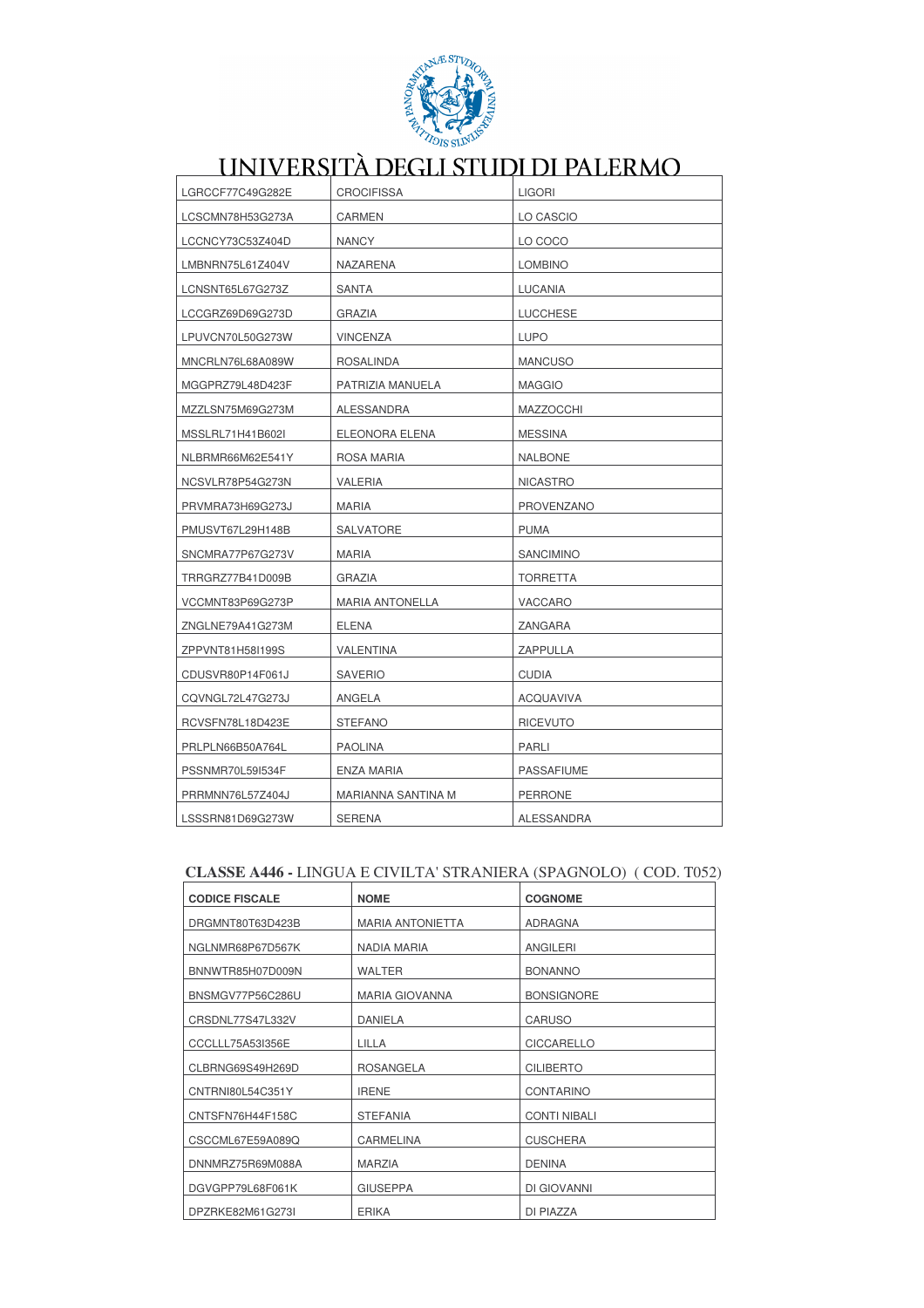

| LGRCCF77C49G282E | <b>CROCIFISSA</b>      | <b>LIGORI</b>     |
|------------------|------------------------|-------------------|
| LCSCMN78H53G273A | <b>CARMEN</b>          | LO CASCIO         |
| LCCNCY73C53Z404D | <b>NANCY</b>           | LO COCO           |
| LMBNRN75L61Z404V | NAZARENA               | <b>LOMBINO</b>    |
| LCNSNT65L67G273Z | <b>SANTA</b>           | <b>LUCANIA</b>    |
| LCCGRZ69D69G273D | GRAZIA                 | LUCCHESE          |
| LPUVCN70L50G273W | VINCENZA               | <b>LUPO</b>       |
| MNCRLN76L68A089W | <b>ROSALINDA</b>       | <b>MANCUSO</b>    |
| MGGPRZ79L48D423F | PATRIZIA MANUELA       | <b>MAGGIO</b>     |
| MZZLSN75M69G273M | ALESSANDRA             | MAZZOCCHI         |
| MSSLRL71H41B602I | ELEONORA ELENA         | <b>MESSINA</b>    |
| NLBRMR66M62E541Y | ROSA MARIA             | <b>NALBONE</b>    |
| NCSVLR78P54G273N | VALERIA                | <b>NICASTRO</b>   |
| PRVMRA73H69G273J | <b>MARIA</b>           | <b>PROVENZANO</b> |
| PMUSVT67L29H148B | SALVATORE              | <b>PUMA</b>       |
| SNCMRA77P67G273V | MARIA                  | <b>SANCIMINO</b>  |
| TRRGRZ77B41D009B | GRAZIA                 | <b>TORRETTA</b>   |
| VCCMNT83P69G273P | <b>MARIA ANTONELLA</b> | VACCARO           |
| ZNGLNE79A41G273M | ELENA                  | ZANGARA           |
| ZPPVNT81H58I199S | VALENTINA              | ZAPPULLA          |
| CDUSVR80P14F061J | <b>SAVERIO</b>         | CUDIA             |
| CQVNGL72L47G273J | ANGELA                 | ACQUAVIVA         |
| RCVSFN78L18D423E | <b>STEFANO</b>         | <b>RICEVUTO</b>   |
| PRLPLN66B50A764L | <b>PAOLINA</b>         | PARLI             |
| PSSNMR70L59I534F | ENZA MARIA             | <b>PASSAFIUME</b> |
| PRRMNN76L57Z404J | MARIANNA SANTINA M     | <b>PERRONE</b>    |
| LSSSRN81D69G273W | <b>SERENA</b>          | ALESSANDRA        |

### CLASSE A446 - LINGUA E CIVILTA' STRANIERA (SPAGNOLO) (COD. T052)

| <b>CODICE FISCALE</b> | <b>NOME</b>             | <b>COGNOME</b>      |
|-----------------------|-------------------------|---------------------|
| DRGMNT80T63D423B      | <b>MARIA ANTONIETTA</b> | <b>ADRAGNA</b>      |
| NGLNMR68P67D567K      | NADIA MARIA             | ANGILERI            |
| BNNWTR85H07D009N      | <b>WALTER</b>           | <b>BONANNO</b>      |
| BNSMGV77P56C286U      | <b>MARIA GIOVANNA</b>   | <b>BONSIGNORE</b>   |
| CRSDNL77S47L332V      | <b>DANIELA</b>          | <b>CARUSO</b>       |
|                       |                         |                     |
| CCCLLL75A53I356E      | LILLA                   | <b>CICCARELLO</b>   |
| CLBRNG69S49H269D      | <b>ROSANGELA</b>        | <b>CILIBERTO</b>    |
| CNTRNI80L54C351Y      | <b>IRENE</b>            | <b>CONTARINO</b>    |
| CNTSFN76H44F158C      | <b>STEFANIA</b>         | <b>CONTI NIBALI</b> |
| CSCCML67E59A089Q      | CARMELINA               | <b>CUSCHERA</b>     |
| DNNMRZ75R69M088A      | <b>MARZIA</b>           | <b>DENINA</b>       |
| DGVGPP79L68F061K      | <b>GIUSEPPA</b>         | DI GIOVANNI         |
| DPZRKE82M61G273I      | <b>ERIKA</b>            | DI PIAZZA           |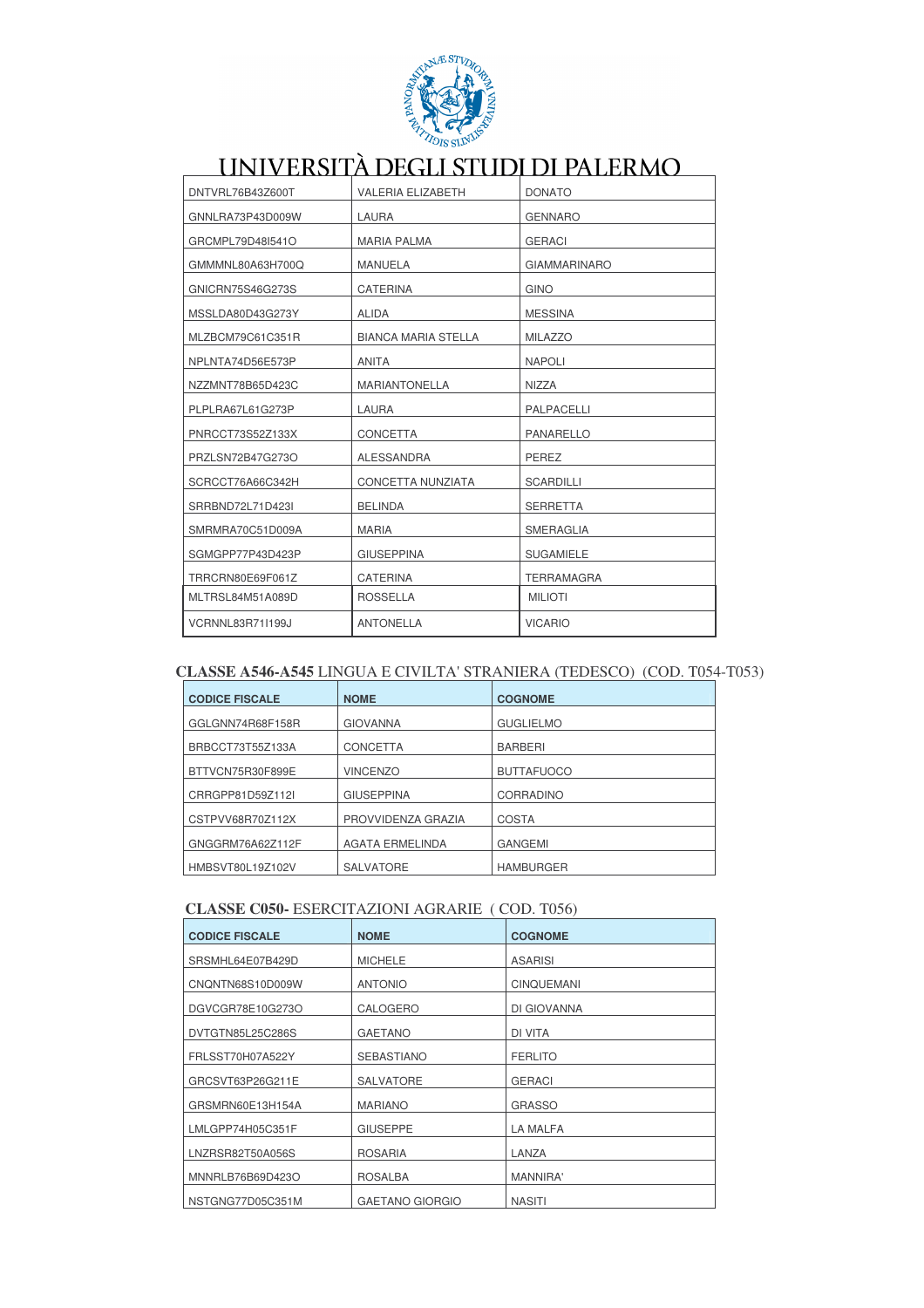

| DNTVRL76B43Z600T | <b>VALERIA ELIZABETH</b>   | <b>DONATO</b>       |
|------------------|----------------------------|---------------------|
| GNNLRA73P43D009W | <b>LAURA</b>               | <b>GENNARO</b>      |
| GRCMPL79D48I541O | <b>MARIA PALMA</b>         | <b>GERACI</b>       |
| GMMMNL80A63H700Q | <b>MANUELA</b>             | <b>GIAMMARINARO</b> |
| GNICRN75S46G273S | <b>CATERINA</b>            | <b>GINO</b>         |
| MSSLDA80D43G273Y | <b>ALIDA</b>               | <b>MESSINA</b>      |
| MLZBCM79C61C351R | <b>BIANCA MARIA STELLA</b> | <b>MILAZZO</b>      |
| NPLNTA74D56E573P | <b>ANITA</b>               | <b>NAPOLI</b>       |
| NZZMNT78B65D423C | <b>MARIANTONELLA</b>       | <b>NIZZA</b>        |
| PLPLRA67L61G273P | LAURA                      | PALPACELLI          |
| PNRCCT73S52Z133X | <b>CONCETTA</b>            | <b>PANARELLO</b>    |
| PRZLSN72B47G273O | <b>ALESSANDRA</b>          | PEREZ               |
| SCRCCT76A66C342H | CONCETTA NUNZIATA          | <b>SCARDILLI</b>    |
| SRRBND72L71D423I | <b>BELINDA</b>             | <b>SERRETTA</b>     |
| SMRMRA70C51D009A | <b>MARIA</b>               | <b>SMERAGLIA</b>    |
| SGMGPP77P43D423P | <b>GIUSEPPINA</b>          | <b>SUGAMIELE</b>    |
| TRRCRN80E69F061Z | <b>CATERINA</b>            | <b>TERRAMAGRA</b>   |
| MLTRSL84M51A089D | <b>ROSSELLA</b>            | <b>MILIOTI</b>      |
| VCRNNL83R71I199J | <b>ANTONELLA</b>           | <b>VICARIO</b>      |

### CLASSE A546-A545 LINGUA E CIVILTA' STRANIERA (TEDESCO) (COD. T054-T053)

| <b>CODICE FISCALE</b> | <b>NOME</b>            | <b>COGNOME</b>    |
|-----------------------|------------------------|-------------------|
| GGLGNN74R68F158R      | <b>GIOVANNA</b>        | <b>GUGLIELMO</b>  |
| BRBCCT73T55Z133A      | <b>CONCETTA</b>        | <b>BARBERI</b>    |
| BTTVCN75R30F899E      | <b>VINCENZO</b>        | <b>BUTTAFUOCO</b> |
| CRRGPP81D59Z112I      | <b>GIUSEPPINA</b>      | CORRADINO         |
| CSTPVV68R70Z112X      | PROVVIDENZA GRAZIA     | COSTA             |
| GNGGRM76A62Z112F      | <b>AGATA ERMELINDA</b> | <b>GANGEMI</b>    |
| HMBSVT80L19Z102V      | <b>SALVATORE</b>       | <b>HAMBURGER</b>  |

### **CLASSE C050-ESERCITAZIONI AGRARIE (COD. T056)**

| <b>CODICE FISCALE</b> | <b>NOME</b>            | <b>COGNOME</b>    |
|-----------------------|------------------------|-------------------|
| SRSMHL64E07B429D      | <b>MICHELE</b>         | <b>ASARISI</b>    |
| CNQNTN68S10D009W      | <b>ANTONIO</b>         | <b>CINQUEMANI</b> |
| DGVCGR78E10G273O      | CALOGERO               | DI GIOVANNA       |
| DVTGTN85L25C286S      | <b>GAETANO</b>         | DI VITA           |
| FRLSST70H07A522Y      | <b>SEBASTIANO</b>      | <b>FERLITO</b>    |
| GRCSVT63P26G211E      | <b>SALVATORE</b>       | <b>GERACI</b>     |
| GRSMRN60E13H154A      | <b>MARIANO</b>         | <b>GRASSO</b>     |
| LMLGPP74H05C351F      | <b>GIUSEPPE</b>        | LA MALFA          |
| LNZRSR82T50A056S      | <b>ROSARIA</b>         | LANZA             |
| MNNRLB76B69D423O      | <b>ROSALBA</b>         | MANNIRA'          |
| NSTGNG77D05C351M      | <b>GAETANO GIORGIO</b> | <b>NASITI</b>     |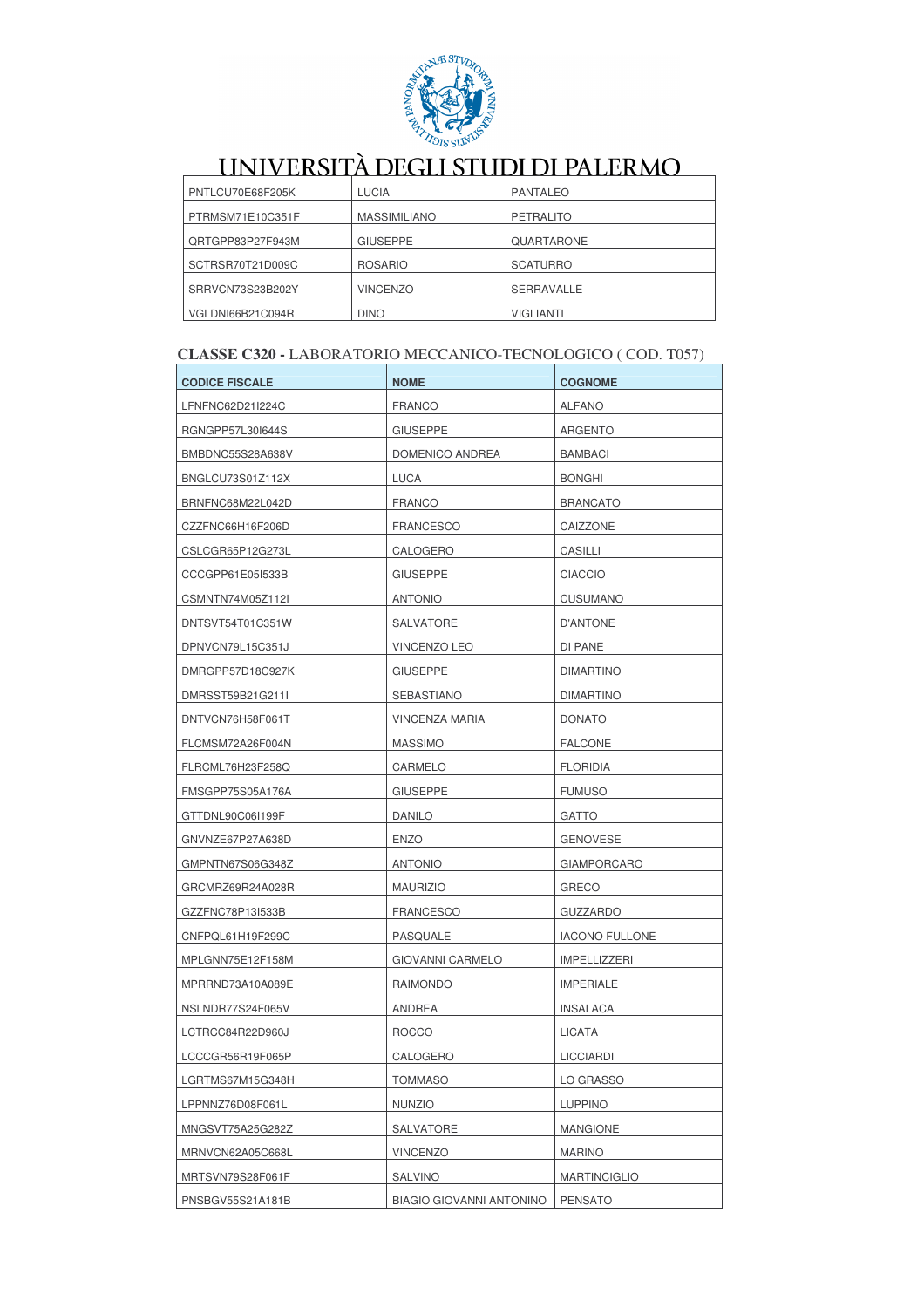

| PNTLCU70E68F205K | <b>LUCIA</b>        | <b>PANTALEO</b>   |
|------------------|---------------------|-------------------|
| PTRMSM71E10C351F | <b>MASSIMILIANO</b> | PETRALITO         |
| QRTGPP83P27F943M | <b>GIUSEPPE</b>     | QUARTARONE        |
| SCTRSR70T21D009C | <b>ROSARIO</b>      | <b>SCATURRO</b>   |
| SRRVCN73S23B202Y | <b>VINCENZO</b>     | <b>SERRAVALLE</b> |
| VGLDNI66B21C094R | <b>DINO</b>         | <b>VIGLIANTI</b>  |

### CLASSE C320 - LABORATORIO MECCANICO-TECNOLOGICO ( COD. T057)

| <b>CODICE FISCALE</b> | <b>NOME</b>                     | <b>COGNOME</b>        |
|-----------------------|---------------------------------|-----------------------|
| LFNFNC62D21I224C      | <b>FRANCO</b>                   | <b>ALFANO</b>         |
| RGNGPP57L30I644S      | <b>GIUSEPPE</b>                 | <b>ARGENTO</b>        |
| BMBDNC55S28A638V      | DOMENICO ANDREA                 | <b>BAMBACI</b>        |
| BNGLCU73S01Z112X      | <b>LUCA</b>                     | <b>BONGHI</b>         |
| BRNFNC68M22L042D      | <b>FRANCO</b>                   | <b>BRANCATO</b>       |
| CZZFNC66H16F206D      | <b>FRANCESCO</b>                | CAIZZONE              |
| CSLCGR65P12G273L      | CALOGERO                        | CASILLI               |
| CCCGPP61E05I533B      | GIUSEPPE                        | <b>CIACCIO</b>        |
| CSMNTN74M05Z112I      | <b>ANTONIO</b>                  | <b>CUSUMANO</b>       |
| DNTSVT54T01C351W      | SALVATORE                       | D'ANTONE              |
| DPNVCN79L15C351J      | VINCENZO LEO                    | DI PANE               |
| DMRGPP57D18C927K      | <b>GIUSEPPE</b>                 | <b>DIMARTINO</b>      |
| DMRSST59B21G211I      | SEBASTIANO                      | <b>DIMARTINO</b>      |
| DNTVCN76H58F061T      | VINCENZA MARIA                  | <b>DONATO</b>         |
| FLCMSM72A26F004N      | <b>MASSIMO</b>                  | <b>FALCONE</b>        |
| FLRCML76H23F258Q      | CARMELO                         | <b>FLORIDIA</b>       |
| FMSGPP75S05A176A      | <b>GIUSEPPE</b>                 | <b>FUMUSO</b>         |
| GTTDNL90C06I199F      | <b>DANILO</b>                   | <b>GATTO</b>          |
| GNVNZE67P27A638D      | <b>ENZO</b>                     | <b>GENOVESE</b>       |
| GMPNTN67S06G348Z      | ANTONIO                         | <b>GIAMPORCARO</b>    |
| GRCMRZ69R24A028R      | <b>MAURIZIO</b>                 | <b>GRECO</b>          |
| GZZFNC78P13I533B      | <b>FRANCESCO</b>                | <b>GUZZARDO</b>       |
| CNFPQL61H19F299C      | PASQUALE                        | <b>IACONO FULLONE</b> |
| MPLGNN75E12F158M      | <b>GIOVANNI CARMELO</b>         | <b>IMPELLIZZERI</b>   |
| MPRRND73A10A089E      | RAIMONDO                        | <b>IMPERIALE</b>      |
| NSLNDR77S24F065V      | <b>ANDREA</b>                   | <b>INSALACA</b>       |
| LCTRCC84R22D960J      | <b>ROCCO</b>                    | <b>LICATA</b>         |
| LCCCGR56R19F065P      | CALOGERO                        | <b>LICCIARDI</b>      |
| LGRTMS67M15G348H      | <b>TOMMASO</b>                  | LO GRASSO             |
| LPPNNZ76D08F061L      | <b>NUNZIO</b>                   | <b>LUPPINO</b>        |
| MNGSVT75A25G282Z      | SALVATORE                       | <b>MANGIONE</b>       |
| MRNVCN62A05C668L      | <b>VINCENZO</b>                 | <b>MARINO</b>         |
| MRTSVN79S28F061F      | <b>SALVINO</b>                  | <b>MARTINCIGLIO</b>   |
| PNSBGV55S21A181B      | <b>BIAGIO GIOVANNI ANTONINO</b> | <b>PENSATO</b>        |